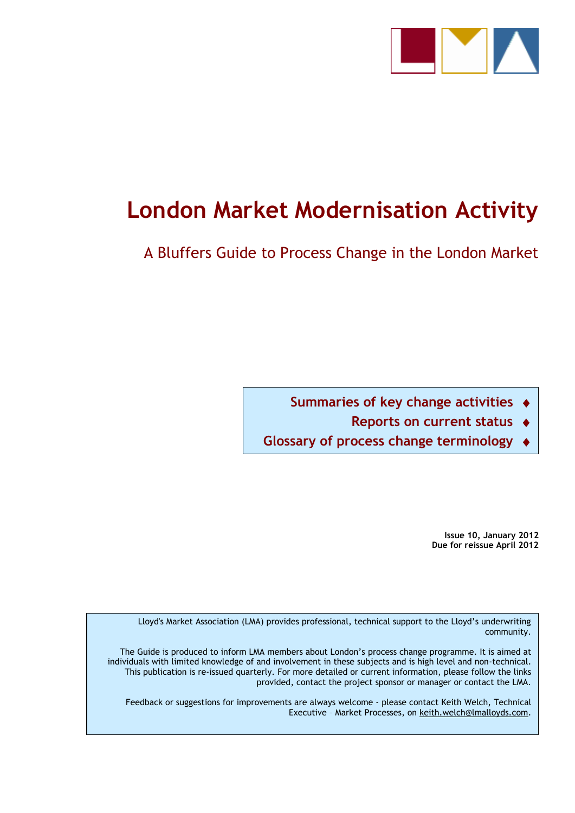

# **London Market Modernisation Activity**

A Bluffers Guide to Process Change in the London Market

**Summaries of key change activities** 

**Reports on current status** 

**Glossary of process change terminology** 

**Issue 10, January 2012 Due for reissue April 2012**

Lloyd's Market Association (LMA) provides professional, technical support to the Lloyd"s underwriting community.

The Guide is produced to inform LMA members about London"s process change programme. It is aimed at individuals with limited knowledge of and involvement in these subjects and is high level and non-technical. This publication is re-issued quarterly. For more detailed or current information, please follow the links provided, contact the project sponsor or manager or contact the LMA.

Feedback or suggestions for improvements are always welcome - please contact Keith Welch, Technical Executive – Market Processes, on [keith.welch@lmalloyds.com.](mailto:keith.welch@lmalloyds.com)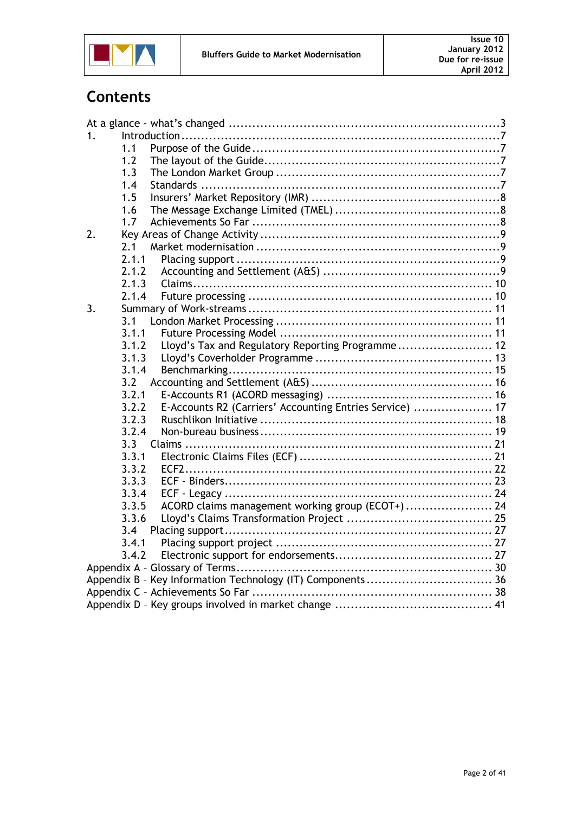

# **Contents**

| 1. |       |                                                            |  |
|----|-------|------------------------------------------------------------|--|
|    | 1.1   |                                                            |  |
|    | 1.2   |                                                            |  |
|    | 1.3   |                                                            |  |
|    | 1.4   |                                                            |  |
|    | 1.5   |                                                            |  |
|    | 1.6   |                                                            |  |
|    | 1.7   |                                                            |  |
| 2. |       |                                                            |  |
|    | 2.1   |                                                            |  |
|    | 2.1.1 |                                                            |  |
|    | 2.1.2 |                                                            |  |
|    | 2.1.3 |                                                            |  |
|    | 2.1.4 |                                                            |  |
| 3. |       |                                                            |  |
|    | 3.1   |                                                            |  |
|    | 3.1.1 |                                                            |  |
|    | 3.1.2 | Lloyd's Tax and Regulatory Reporting Programme 12          |  |
|    | 3.1.3 |                                                            |  |
|    | 3.1.4 |                                                            |  |
|    | 3.2   |                                                            |  |
|    | 3.2.1 |                                                            |  |
|    | 3.2.2 | E-Accounts R2 (Carriers' Accounting Entries Service)  17   |  |
|    | 3.2.3 |                                                            |  |
|    | 3.2.4 |                                                            |  |
|    | 3.3   |                                                            |  |
|    | 3.3.1 |                                                            |  |
|    | 3.3.2 |                                                            |  |
|    | 3.3.3 |                                                            |  |
|    | 3.3.4 |                                                            |  |
|    | 3.3.5 | ACORD claims management working group (ECOT+)  24          |  |
|    | 3.3.6 |                                                            |  |
|    | 3.4   |                                                            |  |
|    | 3.4.1 |                                                            |  |
|    | 3.4.2 |                                                            |  |
|    |       |                                                            |  |
|    |       | Appendix B - Key Information Technology (IT) Components 36 |  |
|    |       |                                                            |  |
|    |       |                                                            |  |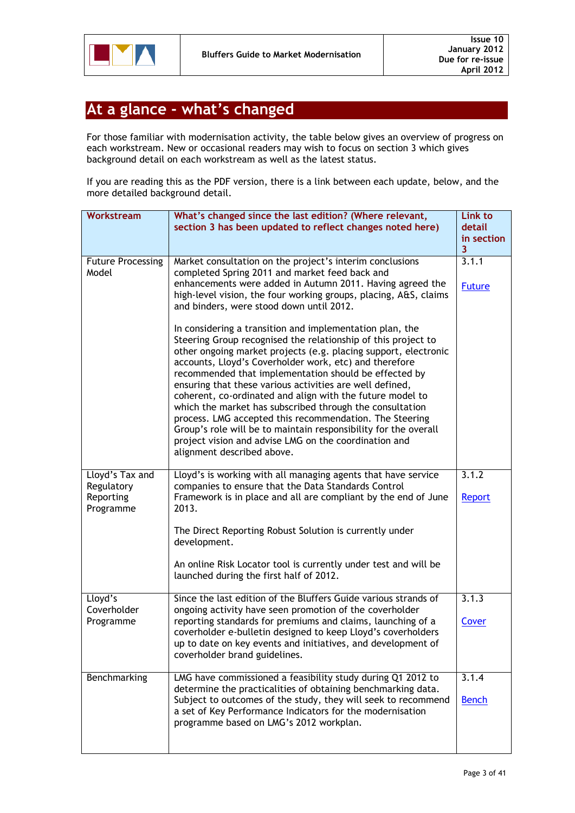

# <span id="page-2-0"></span>**At a glance - what's changed**

For those familiar with modernisation activity, the table below gives an overview of progress on each workstream. New or occasional readers may wish to focus on section 3 which gives background detail on each workstream as well as the latest status.

If you are reading this as the PDF version, there is a link between each update, below, and the more detailed background detail.

| Workstream                        | What's changed since the last edition? (Where relevant,                                                                                                                                                                                                                                                                                                                                                                                                                                                                                                                                                                         | Link to                |
|-----------------------------------|---------------------------------------------------------------------------------------------------------------------------------------------------------------------------------------------------------------------------------------------------------------------------------------------------------------------------------------------------------------------------------------------------------------------------------------------------------------------------------------------------------------------------------------------------------------------------------------------------------------------------------|------------------------|
|                                   | section 3 has been updated to reflect changes noted here)                                                                                                                                                                                                                                                                                                                                                                                                                                                                                                                                                                       | detail                 |
|                                   |                                                                                                                                                                                                                                                                                                                                                                                                                                                                                                                                                                                                                                 | in section<br>3        |
| <b>Future Processing</b><br>Model | Market consultation on the project's interim conclusions<br>completed Spring 2011 and market feed back and<br>enhancements were added in Autumn 2011. Having agreed the                                                                                                                                                                                                                                                                                                                                                                                                                                                         | 3.1.1<br><b>Future</b> |
|                                   | high-level vision, the four working groups, placing, A&S, claims<br>and binders, were stood down until 2012.<br>In considering a transition and implementation plan, the                                                                                                                                                                                                                                                                                                                                                                                                                                                        |                        |
|                                   | Steering Group recognised the relationship of this project to<br>other ongoing market projects (e.g. placing support, electronic<br>accounts, Lloyd's Coverholder work, etc) and therefore<br>recommended that implementation should be effected by<br>ensuring that these various activities are well defined,<br>coherent, co-ordinated and align with the future model to<br>which the market has subscribed through the consultation<br>process. LMG accepted this recommendation. The Steering<br>Group's role will be to maintain responsibility for the overall<br>project vision and advise LMG on the coordination and |                        |
|                                   | alignment described above.                                                                                                                                                                                                                                                                                                                                                                                                                                                                                                                                                                                                      |                        |
| Lloyd's Tax and<br>Regulatory     | Lloyd's is working with all managing agents that have service<br>companies to ensure that the Data Standards Control                                                                                                                                                                                                                                                                                                                                                                                                                                                                                                            | 3.1.2                  |
| Reporting<br>Programme            | Framework is in place and all are compliant by the end of June<br>2013.                                                                                                                                                                                                                                                                                                                                                                                                                                                                                                                                                         | <b>Report</b>          |
|                                   | The Direct Reporting Robust Solution is currently under<br>development.                                                                                                                                                                                                                                                                                                                                                                                                                                                                                                                                                         |                        |
|                                   | An online Risk Locator tool is currently under test and will be<br>launched during the first half of 2012.                                                                                                                                                                                                                                                                                                                                                                                                                                                                                                                      |                        |
| Lloyd's<br>Coverholder            | Since the last edition of the Bluffers Guide various strands of<br>ongoing activity have seen promotion of the coverholder                                                                                                                                                                                                                                                                                                                                                                                                                                                                                                      | 3.1.3                  |
| Programme                         | reporting standards for premiums and claims, launching of a<br>coverholder e-bulletin designed to keep Lloyd's coverholders<br>up to date on key events and initiatives, and development of<br>coverholder brand guidelines.                                                                                                                                                                                                                                                                                                                                                                                                    | Cover                  |
| <b>Benchmarking</b>               | LMG have commissioned a feasibility study during Q1 2012 to<br>determine the practicalities of obtaining benchmarking data.<br>Subject to outcomes of the study, they will seek to recommend<br>a set of Key Performance Indicators for the modernisation<br>programme based on LMG's 2012 workplan.                                                                                                                                                                                                                                                                                                                            | 3.1.4<br><b>Bench</b>  |
|                                   |                                                                                                                                                                                                                                                                                                                                                                                                                                                                                                                                                                                                                                 |                        |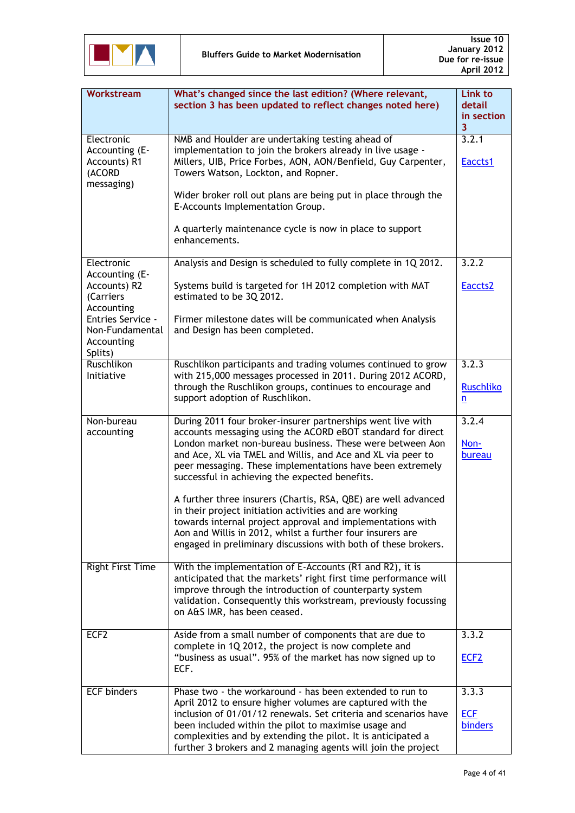

| Workstream                                                                                                                                      | What's changed since the last edition? (Where relevant,<br>section 3 has been updated to reflect changes noted here)                                                                                                                                                                                                                                                                                                                                                                                                                                                                                                                                                                            | Link to<br>detail<br>in section<br>3  |
|-------------------------------------------------------------------------------------------------------------------------------------------------|-------------------------------------------------------------------------------------------------------------------------------------------------------------------------------------------------------------------------------------------------------------------------------------------------------------------------------------------------------------------------------------------------------------------------------------------------------------------------------------------------------------------------------------------------------------------------------------------------------------------------------------------------------------------------------------------------|---------------------------------------|
| Electronic<br>Accounting (E-<br>Accounts) R1<br>(ACORD<br>messaging)                                                                            | NMB and Houlder are undertaking testing ahead of<br>implementation to join the brokers already in live usage -<br>Millers, UIB, Price Forbes, AON, AON/Benfield, Guy Carpenter,<br>Towers Watson, Lockton, and Ropner.<br>Wider broker roll out plans are being put in place through the<br>E-Accounts Implementation Group.<br>A quarterly maintenance cycle is now in place to support<br>enhancements.                                                                                                                                                                                                                                                                                       | 3.2.1<br>Eaccts1                      |
| Electronic<br>Accounting (E-<br>Accounts) R2<br>(Carriers<br>Accounting<br><b>Entries Service -</b><br>Non-Fundamental<br>Accounting<br>Splits) | Analysis and Design is scheduled to fully complete in 1Q 2012.<br>Systems build is targeted for 1H 2012 completion with MAT<br>estimated to be 3Q 2012.<br>Firmer milestone dates will be communicated when Analysis<br>and Design has been completed.                                                                                                                                                                                                                                                                                                                                                                                                                                          | 3.2.2<br>Eaccts2                      |
| Ruschlikon<br>Initiative                                                                                                                        | Ruschlikon participants and trading volumes continued to grow<br>with 215,000 messages processed in 2011. During 2012 ACORD,<br>through the Ruschlikon groups, continues to encourage and<br>support adoption of Ruschlikon.                                                                                                                                                                                                                                                                                                                                                                                                                                                                    | 3.2.3<br><b>Ruschliko</b><br>n        |
| Non-bureau<br>accounting                                                                                                                        | During 2011 four broker-insurer partnerships went live with<br>accounts messaging using the ACORD eBOT standard for direct<br>London market non-bureau business. These were between Aon<br>and Ace, XL via TMEL and Willis, and Ace and XL via peer to<br>peer messaging. These implementations have been extremely<br>successful in achieving the expected benefits.<br>A further three insurers (Chartis, RSA, QBE) are well advanced<br>in their project initiation activities and are working<br>towards internal project approval and implementations with<br>Aon and Willis in 2012, whilst a further four insurers are<br>engaged in preliminary discussions with both of these brokers. | 3.2.4<br>Non-<br>bureau               |
| Right First Time                                                                                                                                | With the implementation of E-Accounts (R1 and R2), it is<br>anticipated that the markets' right first time performance will<br>improve through the introduction of counterparty system<br>validation. Consequently this workstream, previously focussing<br>on A&S IMR, has been ceased.                                                                                                                                                                                                                                                                                                                                                                                                        |                                       |
| ECF <sub>2</sub>                                                                                                                                | Aside from a small number of components that are due to<br>complete in 1Q 2012, the project is now complete and<br>"business as usual". 95% of the market has now signed up to<br>ECF.                                                                                                                                                                                                                                                                                                                                                                                                                                                                                                          | 3.3.2<br>ECF <sub>2</sub>             |
| <b>ECF</b> binders                                                                                                                              | Phase two - the workaround - has been extended to run to<br>April 2012 to ensure higher volumes are captured with the<br>inclusion of 01/01/12 renewals. Set criteria and scenarios have<br>been included within the pilot to maximise usage and<br>complexities and by extending the pilot. It is anticipated a<br>further 3 brokers and 2 managing agents will join the project                                                                                                                                                                                                                                                                                                               | 3.3.3<br><b>ECF</b><br><b>binders</b> |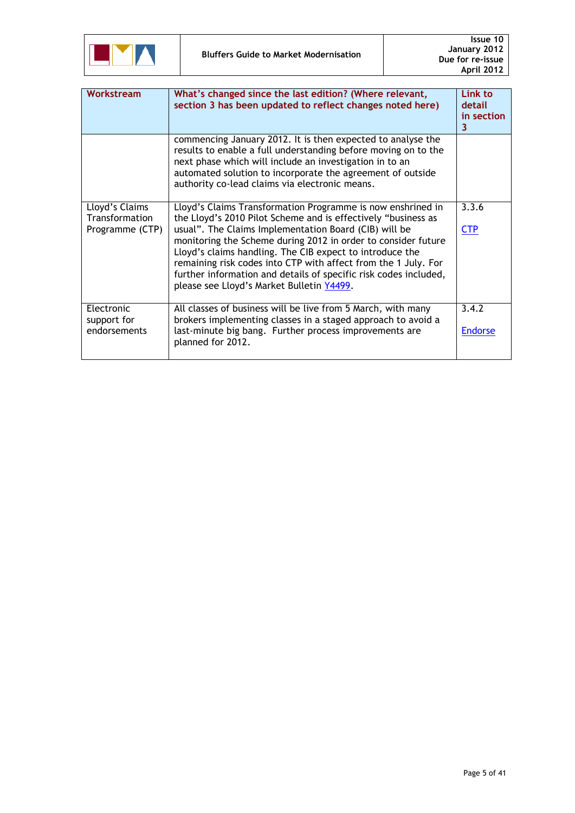

| Workstream                                          | What's changed since the last edition? (Where relevant,<br>section 3 has been updated to reflect changes noted here)                                                                                                                                                                                                                                                                                                                                                                                  | Link to<br>detail<br>in section<br>3 |
|-----------------------------------------------------|-------------------------------------------------------------------------------------------------------------------------------------------------------------------------------------------------------------------------------------------------------------------------------------------------------------------------------------------------------------------------------------------------------------------------------------------------------------------------------------------------------|--------------------------------------|
|                                                     | commencing January 2012. It is then expected to analyse the<br>results to enable a full understanding before moving on to the<br>next phase which will include an investigation in to an<br>automated solution to incorporate the agreement of outside<br>authority co-lead claims via electronic means.                                                                                                                                                                                              |                                      |
| Lloyd's Claims<br>Transformation<br>Programme (CTP) | Lloyd's Claims Transformation Programme is now enshrined in<br>the Lloyd's 2010 Pilot Scheme and is effectively "business as<br>usual". The Claims Implementation Board (CIB) will be<br>monitoring the Scheme during 2012 in order to consider future<br>Lloyd's claims handling. The CIB expect to introduce the<br>remaining risk codes into CTP with affect from the 1 July. For<br>further information and details of specific risk codes included,<br>please see Lloyd's Market Bulletin Y4499. | 3.3.6<br><b>CTP</b>                  |
| Electronic<br>support for<br>endorsements           | All classes of business will be live from 5 March, with many<br>brokers implementing classes in a staged approach to avoid a<br>last-minute big bang. Further process improvements are<br>planned for 2012.                                                                                                                                                                                                                                                                                           | 3.4.2<br><b>Endorse</b>              |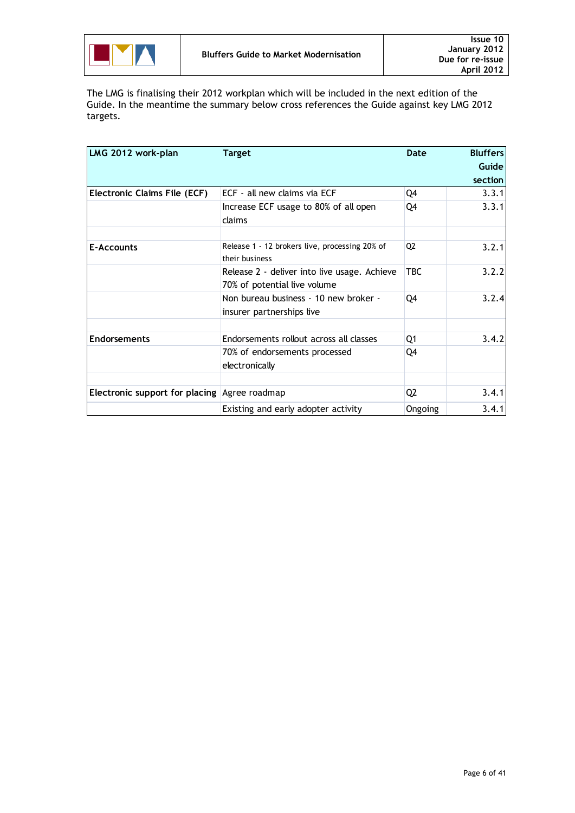

The LMG is finalising their 2012 workplan which will be included in the next edition of the Guide. In the meantime the summary below cross references the Guide against key LMG 2012 targets.

| LMG 2012 work-plan                              | <b>Target</b>                                                                | Date           | <b>Bluffers</b> |
|-------------------------------------------------|------------------------------------------------------------------------------|----------------|-----------------|
|                                                 |                                                                              |                | Guide           |
|                                                 |                                                                              |                | section         |
| Electronic Claims File (ECF)                    | ECF - all new claims via ECF                                                 | Q4             | 3.3.1           |
|                                                 | Increase ECF usage to 80% of all open<br>claims                              | Q4             | 3.3.1           |
| E-Accounts                                      | Release 1 - 12 brokers live, processing 20% of<br>their business             | Q2             | 3.2.1           |
|                                                 | Release 2 - deliver into live usage. Achieve<br>70% of potential live volume | <b>TBC</b>     | 3.2.2           |
|                                                 | Non bureau business - 10 new broker -<br>insurer partnerships live           | Q4             | 3.2.4           |
| <b>Endorsements</b>                             | Endorsements rollout across all classes                                      | Q1             | 3.4.2           |
|                                                 | 70% of endorsements processed<br>electronically                              | Q4             |                 |
|                                                 |                                                                              |                |                 |
| Electronic support for placing $ Agree$ roadmap |                                                                              | Q <sub>2</sub> | 3.4.1           |
|                                                 | Existing and early adopter activity                                          | Ongoing        | 3.4.1           |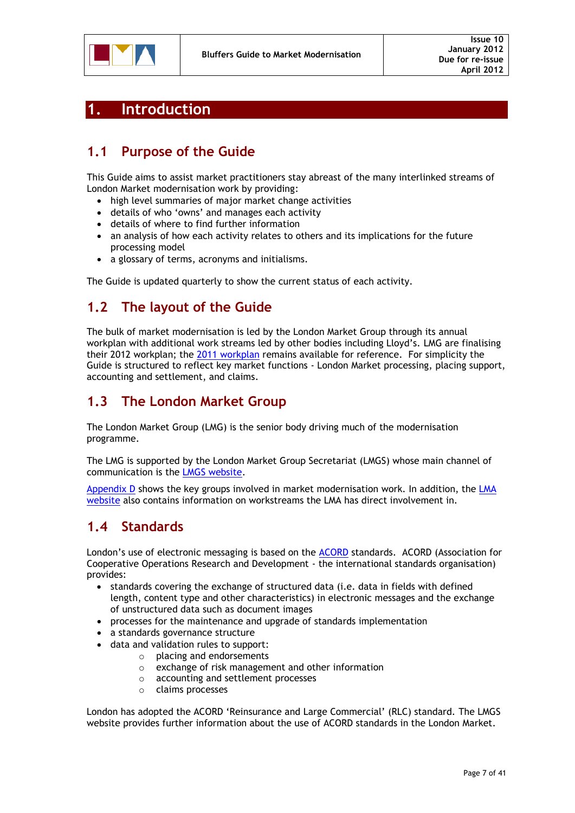

### <span id="page-6-0"></span>**1. Introduction**

### <span id="page-6-1"></span>**1.1 Purpose of the Guide**

This Guide aims to assist market practitioners stay abreast of the many interlinked streams of London Market modernisation work by providing:

- high level summaries of major market change activities
- details of who "owns" and manages each activity
- details of where to find further information
- an analysis of how each activity relates to others and its implications for the future processing model
- a glossary of terms, acronyms and initialisms.

The Guide is updated quarterly to show the current status of each activity.

### <span id="page-6-2"></span>**1.2 The layout of the Guide**

The bulk of market modernisation is led by the London Market Group through its annual workplan with additional work streams led by other bodies including Lloyd"s. LMG are finalising their 2012 workplan; the 2011 [workplan](http://www.londonmarketgroup.co.uk/Documents/About_market_reform/2011%20Workplan/LMG2011WorkPlanFINAL.pdf?2ced3df0a1c08ee30f41a6e26bbeabd2=c1ba349c433930f8ac319cefb144e260) remains available for reference. For simplicity the Guide is structured to reflect key market functions - London Market processing, placing support, accounting and settlement, and claims.

### <span id="page-6-3"></span>**1.3 The London Market Group**

The London Market Group (LMG) is the senior body driving much of the modernisation programme.

The LMG is supported by the London Market Group Secretariat (LMGS) whose main channel of communication is the [LMGS website.](http://www.marketreform.co.uk/)

[Appendix D](#page-40-0) shows the key groups involved in market modernisation work. In addition, the [LMA](http://www.lmalloyds.com/lma/Web/Market_Places/Operations_and_change/Market_Reform/Web/market_places/operations_and_change/Market_Reform.aspx?hkey=bb7023ba-511f-43fc-9a02-68d650685419)  [website](http://www.lmalloyds.com/lma/Web/Market_Places/Operations_and_change/Market_Reform/Web/market_places/operations_and_change/Market_Reform.aspx?hkey=bb7023ba-511f-43fc-9a02-68d650685419) also contains information on workstreams the LMA has direct involvement in.

### <span id="page-6-4"></span>**1.4 Standards**

London's use of electronic messaging is based on the [ACORD](http://www.acordlondon.org/) standards. ACORD (Association for Cooperative Operations Research and Development - the international standards organisation) provides:

- standards covering the exchange of structured data (i.e. data in fields with defined length, content type and other characteristics) in electronic messages and the exchange of unstructured data such as document images
- processes for the maintenance and upgrade of standards implementation
- a standards governance structure
- data and validation rules to support:
	- o placing and endorsements
	- o exchange of risk management and other information
	- o accounting and settlement processes
	- o claims processes

London has adopted the ACORD 'Reinsurance and Large Commercial' (RLC) standard. The LMGS [website](http://www.marketreform.co.uk/index.php?option=com_content&view=category&id=34&Itemid=135) provides further information about the use of ACORD standards in the London Market.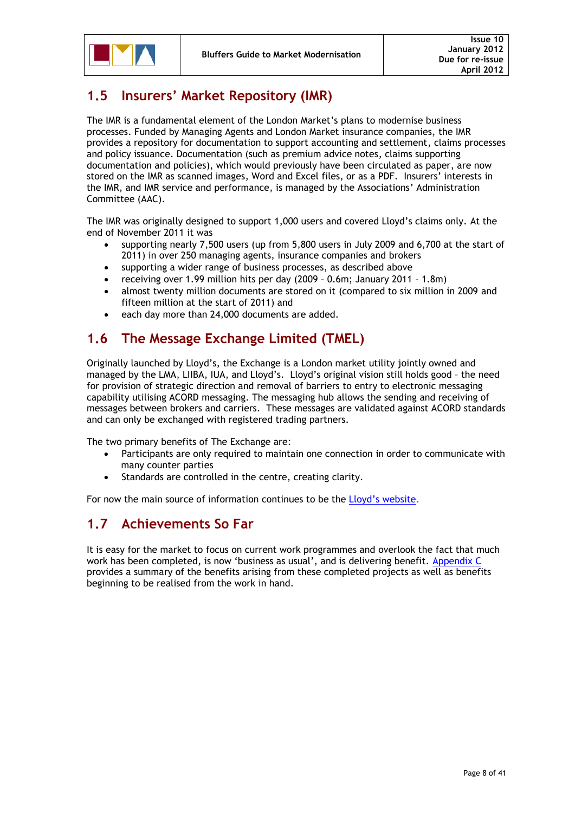### <span id="page-7-0"></span>**1.5 Insurers' Market Repository (IMR)**

The IMR is a fundamental element of the London Market"s plans to modernise business processes. Funded by Managing Agents and London Market insurance companies, the IMR provides a repository for documentation to support accounting and settlement, claims processes and policy issuance. Documentation (such as premium advice notes, claims supporting documentation and policies), which would previously have been circulated as paper, are now stored on the IMR as scanned images, Word and Excel files, or as a PDF. Insurers' interests in the IMR, and IMR service and performance, is managed by the Associations" Administration Committee (AAC).

The IMR was originally designed to support 1,000 users and covered Lloyd"s claims only. At the end of November 2011 it was

- supporting nearly 7,500 users (up from 5,800 users in July 2009 and 6,700 at the start of 2011) in over 250 managing agents, insurance companies and brokers
- supporting a wider range of business processes, as described above
- receiving over 1.99 million hits per day (2009 0.6m; January 2011 1.8m)
- almost twenty million documents are stored on it (compared to six million in 2009 and fifteen million at the start of 2011) and
- each day more than 24,000 documents are added.

### <span id="page-7-1"></span>**1.6 The Message Exchange Limited (TMEL)**

Originally launched by Lloyd"s, the Exchange is a London market utility jointly owned and managed by the LMA, LIIBA, IUA, and Lloyd"s. Lloyd"s original vision still holds good – the need for provision of strategic direction and removal of barriers to entry to electronic messaging capability utilising ACORD messaging. The messaging hub allows the sending and receiving of messages between brokers and carriers. These messages are validated against ACORD standards and can only be exchanged with registered trading partners.

The two primary benefits of The Exchange are:

- Participants are only required to maintain one connection in order to communicate with many counter parties
- Standards are controlled in the centre, creating clarity.

For now the main source of information continues to be the Lloyd's website.

### <span id="page-7-2"></span>**1.7 Achievements So Far**

It is easy for the market to focus on current work programmes and overlook the fact that much work has been completed, is now "business as usual", and is delivering benefit. [Appendix C](#page-37-1) provides a summary of the benefits arising from these completed projects as well as benefits beginning to be realised from the work in hand.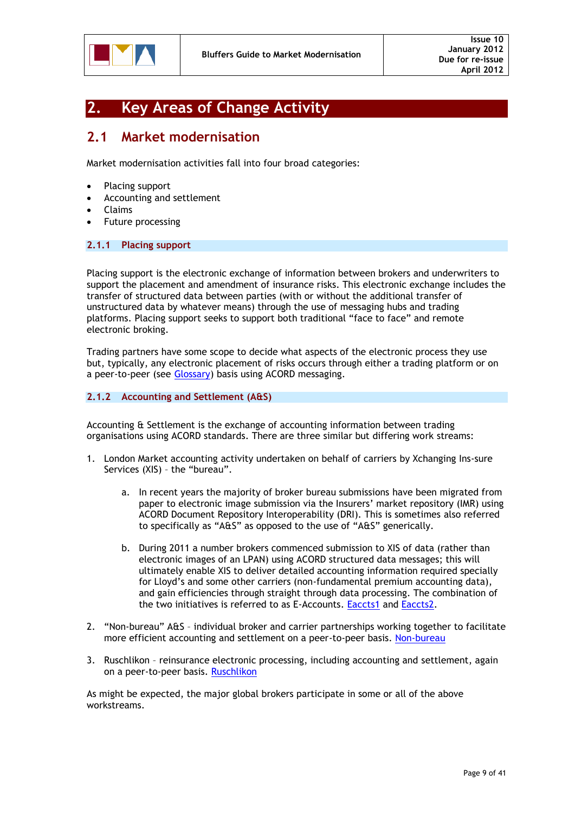

### <span id="page-8-0"></span>**2. Key Areas of Change Activity**

### <span id="page-8-1"></span>**2.1 Market modernisation**

Market modernisation activities fall into four broad categories:

- Placing support
- Accounting and settlement
- Claims
- Future processing

### <span id="page-8-2"></span>**2.1.1 Placing support**

Placing support is the electronic exchange of information between brokers and underwriters to support the placement and amendment of insurance risks. This electronic exchange includes the transfer of structured data between parties (with or without the additional transfer of unstructured data by whatever means) through the use of messaging hubs and trading platforms. Placing support seeks to support both traditional "face to face" and remote electronic broking.

Trading partners have some scope to decide what aspects of the electronic process they use but, typically, any electronic placement of risks occurs through either a trading platform or on a peer-to-peer (see [Glossary\)](#page-29-0) basis using ACORD messaging.

### <span id="page-8-3"></span>**2.1.2 Accounting and Settlement (A&S)**

Accounting & Settlement is the exchange of accounting information between trading organisations using ACORD standards. There are three similar but differing work streams:

- 1. London Market accounting activity undertaken on behalf of carriers by Xchanging Ins-sure Services (XIS) – the "bureau".
	- a. In recent years the majority of broker bureau submissions have been migrated from paper to electronic image submission via the Insurers" market repository (IMR) using ACORD Document Repository Interoperability (DRI). This is sometimes also referred to specifically as "A&S" as opposed to the use of "A&S" generically.
	- b. During 2011 a number brokers commenced submission to XIS of data (rather than electronic images of an LPAN) using ACORD structured data messages; this will ultimately enable XIS to deliver detailed accounting information required specially for Lloyd's and some other carriers (non-fundamental premium accounting data), and gain efficiencies through straight through data processing. The combination of the two initiatives is referred to as E-Accounts. [Eaccts1](#page-15-1) and [Eaccts2.](#page-16-0)
- 2. "Non-bureau" A&S individual broker and carrier partnerships working together to facilitate more efficient accounting and settlement on a peer-to-peer basis. [Non-bureau](#page-18-0)
- 3. Ruschlikon reinsurance electronic processing, including accounting and settlement, again on a peer-to-peer basis. [Ruschlikon](#page-17-0)

As might be expected, the major global brokers participate in some or all of the above workstreams.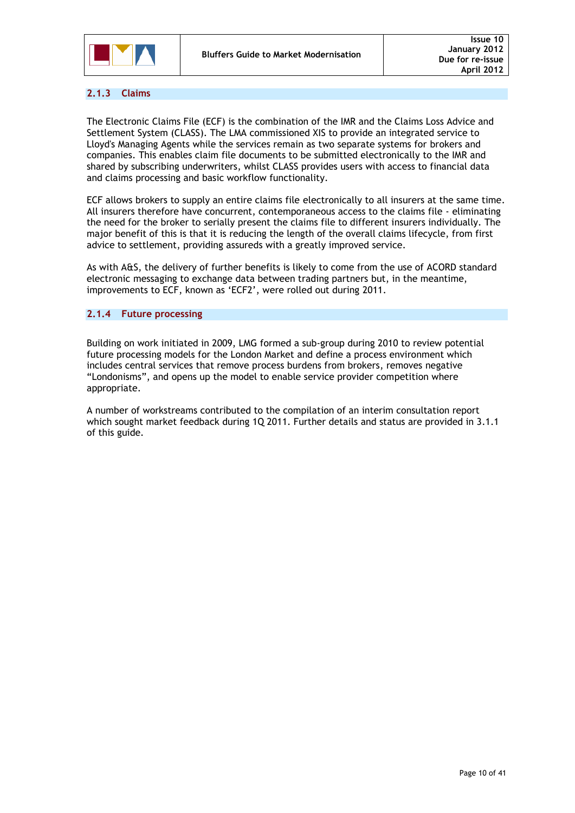

### <span id="page-9-0"></span>**2.1.3 Claims**

The Electronic Claims File (ECF) is the combination of the IMR and the Claims Loss Advice and Settlement System (CLASS). The LMA commissioned XIS to provide an integrated service to Lloyd's Managing Agents while the services remain as two separate systems for brokers and companies. This enables claim file documents to be submitted electronically to the IMR and shared by subscribing underwriters, whilst CLASS provides users with access to financial data and claims processing and basic workflow functionality.

ECF allows brokers to supply an entire claims file electronically to all insurers at the same time. All insurers therefore have concurrent, contemporaneous access to the claims file - eliminating the need for the broker to serially present the claims file to different insurers individually. The major benefit of this is that it is reducing the length of the overall claims lifecycle, from first advice to settlement, providing assureds with a greatly improved service.

As with A&S, the delivery of further benefits is likely to come from the use of ACORD standard electronic messaging to exchange data between trading partners but, in the meantime, improvements to ECF, known as "ECF2", were rolled out during 2011.

### <span id="page-9-1"></span>**2.1.4 Future processing**

Building on work initiated in 2009, LMG formed a sub-group during 2010 to review potential future processing models for the London Market and define a process environment which includes central services that remove process burdens from brokers, removes negative "Londonisms", and opens up the model to enable service provider competition where appropriate.

A number of workstreams contributed to the compilation of an interim consultation report which sought market feedback during 1Q 2011. Further details and status are provided in 3.1.1 of this guide.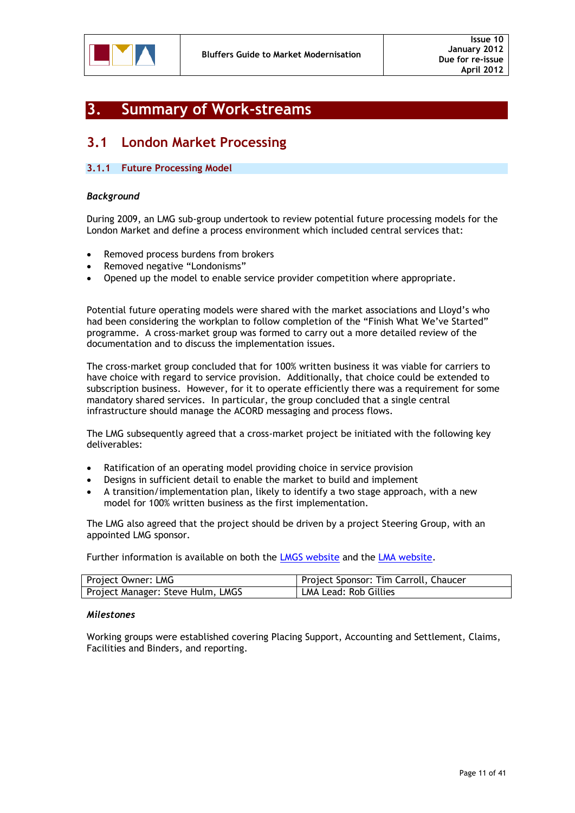

### <span id="page-10-0"></span>**3. Summary of Work-streams**

### <span id="page-10-1"></span>**3.1 London Market Processing**

### <span id="page-10-2"></span>**3.1.1 Future Processing Model**

### *Background*

During 2009, an LMG sub-group undertook to review potential future processing models for the London Market and define a process environment which included central services that:

- Removed process burdens from brokers
- Removed negative "Londonisms"
- Opened up the model to enable service provider competition where appropriate.

Potential future operating models were shared with the market associations and Lloyd"s who had been considering the workplan to follow completion of the "Finish What We've Started" programme. A cross-market group was formed to carry out a more detailed review of the documentation and to discuss the implementation issues.

The cross-market group concluded that for 100% written business it was viable for carriers to have choice with regard to service provision. Additionally, that choice could be extended to subscription business. However, for it to operate efficiently there was a requirement for some mandatory shared services. In particular, the group concluded that a single central infrastructure should manage the ACORD messaging and process flows.

The LMG subsequently agreed that a cross-market project be initiated with the following key deliverables:

- Ratification of an operating model providing choice in service provision
- Designs in sufficient detail to enable the market to build and implement
- A transition/implementation plan, likely to identify a two stage approach, with a new model for 100% written business as the first implementation.

The LMG also agreed that the project should be driven by a project Steering Group, with an appointed LMG sponsor.

Further information is available on both the [LMGS website](http://www.marketreform.co.uk/index.php?option=com_content&view=category&id=68&Itemid=178&2ced3df0a1c08ee30f41a6e26bbeabd2=51ad1aee5fd13732a04b95df70e2226c) and the [LMA website.](http://www.lmalloyds.com/Web/Market_Places/Operations_and_change/Market_Reform/Future_Processes/Web/market_places/operations_and_change/Future_processes.aspx?hkey=a8bef6aa-42ee-421a-9d43-59d0d2b9a739)

| Project Owner: LMG                | Project Sponsor: Tim Carroll, Chaucer |
|-----------------------------------|---------------------------------------|
| Project Manager: Steve Hulm, LMGS | LMA Lead: Rob Gillies                 |

### *Milestones*

Working groups were established covering Placing Support, Accounting and Settlement, Claims, Facilities and Binders, and reporting.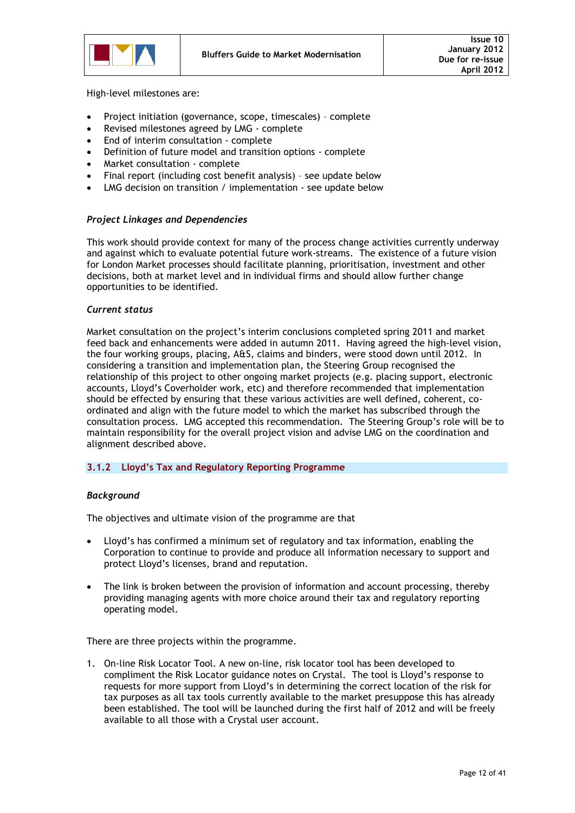

High-level milestones are:

- Project initiation (governance, scope, timescales) complete
- Revised milestones agreed by LMG complete
- End of interim consultation complete
- Definition of future model and transition options complete
- Market consultation complete
- Final report (including cost benefit analysis) see update below
- LMG decision on transition / implementation see update below

### *Project Linkages and Dependencies*

This work should provide context for many of the process change activities currently underway and against which to evaluate potential future work-streams. The existence of a future vision for London Market processes should facilitate planning, prioritisation, investment and other decisions, both at market level and in individual firms and should allow further change opportunities to be identified.

#### *Current status*

Market consultation on the project"s interim conclusions completed spring 2011 and market feed back and enhancements were added in autumn 2011. Having agreed the high-level vision, the four working groups, placing, A&S, claims and binders, were stood down until 2012. In considering a transition and implementation plan, the Steering Group recognised the relationship of this project to other ongoing market projects (e.g. placing support, electronic accounts, Lloyd"s Coverholder work, etc) and therefore recommended that implementation should be effected by ensuring that these various activities are well defined, coherent, coordinated and align with the future model to which the market has subscribed through the consultation process. LMG accepted this recommendation. The Steering Group"s role will be to maintain responsibility for the overall project vision and advise LMG on the coordination and alignment described above.

### <span id="page-11-0"></span>**3.1.2 Lloyd's Tax and Regulatory Reporting Programme**

### *Background*

The objectives and ultimate vision of the programme are that

- Lloyd"s has confirmed a minimum set of regulatory and tax information, enabling the Corporation to continue to provide and produce all information necessary to support and protect Lloyd"s licenses, brand and reputation.
- The link is broken between the provision of information and account processing, thereby providing managing agents with more choice around their tax and regulatory reporting operating model.

There are three projects within the programme.

1. On-line Risk Locator Tool. A new on-line, risk locator tool has been developed to compliment the Risk Locator guidance notes on Crystal. The tool is Lloyd"s response to requests for more support from Lloyd"s in determining the correct location of the risk for tax purposes as all tax tools currently available to the market presuppose this has already been established. The tool will be launched during the first half of 2012 and will be freely available to all those with a Crystal user account.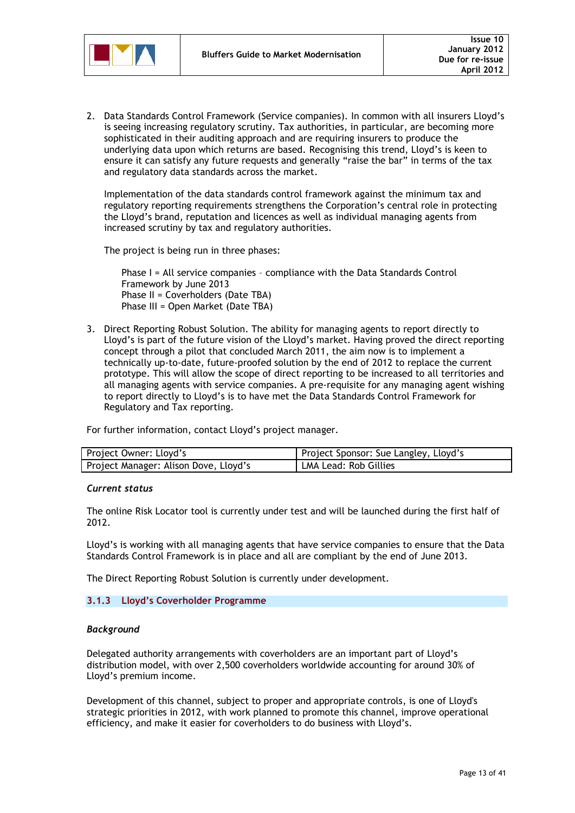

2. Data Standards Control Framework (Service companies). In common with all insurers Lloyd"s is seeing increasing regulatory scrutiny. Tax authorities, in particular, are becoming more sophisticated in their auditing approach and are requiring insurers to produce the underlying data upon which returns are based. Recognising this trend, Lloyd"s is keen to ensure it can satisfy any future requests and generally "raise the bar" in terms of the tax and regulatory data standards across the market.

Implementation of the data standards control framework against the minimum tax and regulatory reporting requirements strengthens the Corporation"s central role in protecting the Lloyd"s brand, reputation and licences as well as individual managing agents from increased scrutiny by tax and regulatory authorities.

The project is being run in three phases:

Phase I = All service companies – compliance with the Data Standards Control Framework by June 2013 Phase II = Coverholders (Date TBA) Phase III = Open Market (Date TBA)

3. Direct Reporting Robust Solution. The ability for managing agents to report directly to Lloyd"s is part of the future vision of the Lloyd"s market. Having proved the direct reporting concept through a pilot that concluded March 2011, the aim now is to implement a technically up-to-date, future-proofed solution by the end of 2012 to replace the current prototype. This will allow the scope of direct reporting to be increased to all territories and all managing agents with service companies. A pre-requisite for any managing agent wishing to report directly to Lloyd"s is to have met the Data Standards Control Framework for Regulatory and Tax reporting.

For further information, contact Lloyd"s project manager.

| Project Owner: Lloyd's                | Project Sponsor: Sue Langley, Lloyd's |
|---------------------------------------|---------------------------------------|
| Project Manager: Alison Dove, Lloyd's | LMA Lead: Rob Gillies                 |

### *Current status*

The online Risk Locator tool is currently under test and will be launched during the first half of 2012.

Lloyd"s is working with all managing agents that have service companies to ensure that the Data Standards Control Framework is in place and all are compliant by the end of June 2013.

The Direct Reporting Robust Solution is currently under development.

### <span id="page-12-0"></span>**3.1.3 Lloyd's Coverholder Programme**

### *Background*

Delegated authority arrangements with coverholders are an important part of Lloyd"s distribution model, with over 2,500 coverholders worldwide accounting for around 30% of Lloyd"s premium income.

Development of this channel, subject to proper and appropriate controls, is one of Lloyd's strategic priorities in 2012, with work planned to promote this channel, improve operational efficiency, and make it easier for coverholders to do business with Lloyd"s.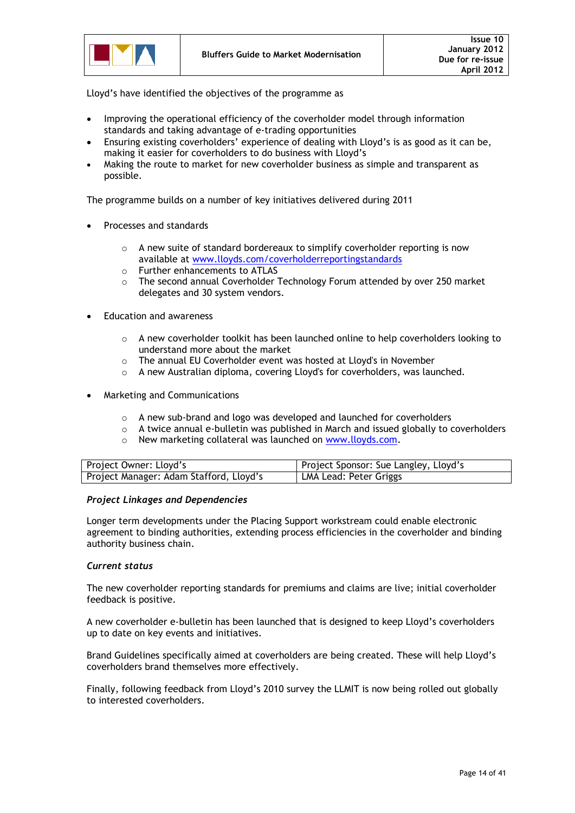

Lloyd"s have identified the objectives of the programme as

- Improving the operational efficiency of the coverholder model through information standards and taking advantage of e-trading opportunities
- Ensuring existing coverholders' experience of dealing with Lloyd's is as good as it can be, making it easier for coverholders to do business with Lloyd"s
- Making the route to market for new coverholder business as simple and transparent as possible.

The programme builds on a number of key initiatives delivered during 2011

- Processes and standards
	- o A new suite of standard bordereaux to simplify coverholder reporting is now available at [www.lloyds.com/coverholderreportingstandards](http://www.lloyds.com/coverholderreportingstandards)
	- o Further enhancements to ATLAS
	- $\circ$  The second annual Coverholder Technology Forum attended by over 250 market delegates and 30 system vendors.
- Education and awareness
	- $\circ$  A new coverholder toolkit has been launched online to help coverholders looking to understand more about the market
	- o The annual EU Coverholder event was hosted at Lloyd's in November
	- o A new Australian diploma, covering Lloyd's for coverholders, was launched.
- Marketing and Communications
	- o A new sub-brand and logo was developed and launched for coverholders
	- $\circ$  A twice annual e-bulletin was published in March and issued globally to coverholders
	- o New marketing collateral was launched on [www.lloyds.com.](http://www.lloyds.com/)

| Project Owner: Lloyd's                  | Project Sponsor: Sue Langley, Lloyd's |
|-----------------------------------------|---------------------------------------|
| Project Manager: Adam Stafford, Lloyd's | LMA Lead: Peter Griggs                |

### *Project Linkages and Dependencies*

Longer term developments under the Placing Support workstream could enable electronic agreement to binding authorities, extending process efficiencies in the coverholder and binding authority business chain.

### *Current status*

The new coverholder reporting standards for premiums and claims are live; initial coverholder feedback is positive.

A new coverholder e-bulletin has been launched that is designed to keep Lloyd"s coverholders up to date on key events and initiatives.

Brand Guidelines specifically aimed at coverholders are being created. These will help Lloyd"s coverholders brand themselves more effectively.

Finally, following feedback from Lloyd"s 2010 survey the LLMIT is now being rolled out globally to interested coverholders.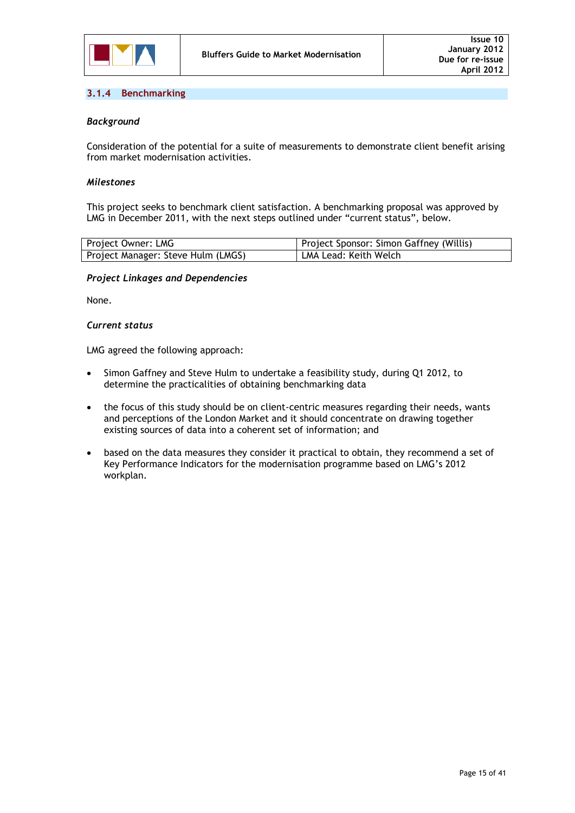

### <span id="page-14-0"></span>**3.1.4 Benchmarking**

### *Background*

Consideration of the potential for a suite of measurements to demonstrate client benefit arising from market modernisation activities.

### *Milestones*

This project seeks to benchmark client satisfaction. A benchmarking proposal was approved by LMG in December 2011, with the next steps outlined under "current status", below.

| Project Owner: LMG                 | Project Sponsor: Simon Gaffney (Willis) |
|------------------------------------|-----------------------------------------|
| Project Manager: Steve Hulm (LMGS) | LMA Lead: Keith Welch                   |

### *Project Linkages and Dependencies*

None.

### *Current status*

LMG agreed the following approach:

- Simon Gaffney and Steve Hulm to undertake a feasibility study, during Q1 2012, to determine the practicalities of obtaining benchmarking data
- the focus of this study should be on client-centric measures regarding their needs, wants and perceptions of the London Market and it should concentrate on drawing together existing sources of data into a coherent set of information; and
- based on the data measures they consider it practical to obtain, they recommend a set of Key Performance Indicators for the modernisation programme based on LMG"s 2012 workplan.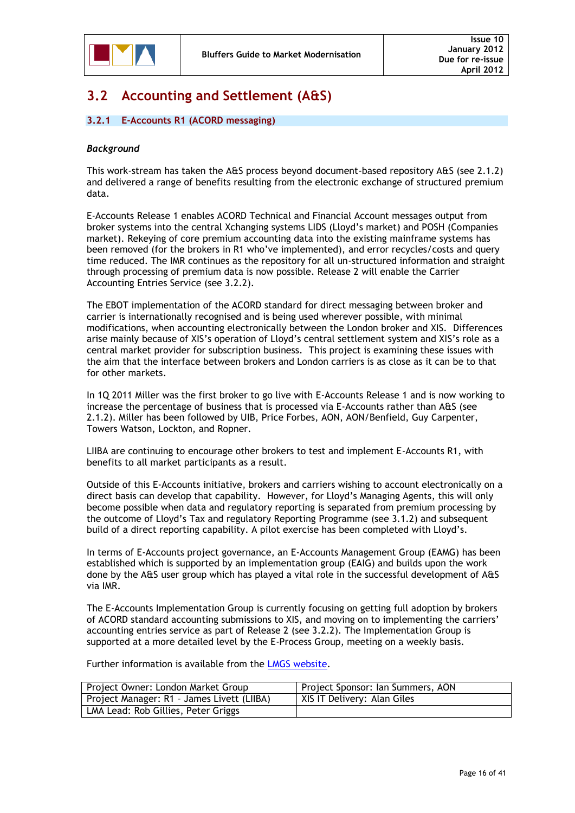

### <span id="page-15-0"></span>**3.2 Accounting and Settlement (A&S)**

### <span id="page-15-1"></span>**3.2.1 E-Accounts R1 (ACORD messaging)**

### *Background*

This work-stream has taken the A&S process beyond document-based repository A&S (see 2.1.2) and delivered a range of benefits resulting from the electronic exchange of structured premium data.

E-Accounts Release 1 enables ACORD Technical and Financial Account messages output from broker systems into the central Xchanging systems LIDS (Lloyd"s market) and POSH (Companies market). Rekeying of core premium accounting data into the existing mainframe systems has been removed (for the brokers in R1 who"ve implemented), and error recycles/costs and query time reduced. The IMR continues as the repository for all un-structured information and straight through processing of premium data is now possible. Release 2 will enable the Carrier Accounting Entries Service (see 3.2.2).

The EBOT implementation of the ACORD standard for direct messaging between broker and carrier is internationally recognised and is being used wherever possible, with minimal modifications, when accounting electronically between the London broker and XIS. Differences arise mainly because of XIS"s operation of Lloyd"s central settlement system and XIS"s role as a central market provider for subscription business. This project is examining these issues with the aim that the interface between brokers and London carriers is as close as it can be to that for other markets.

In 1Q 2011 Miller was the first broker to go live with E-Accounts Release 1 and is now working to increase the percentage of business that is processed via E-Accounts rather than A&S (see 2.1.2). Miller has been followed by UIB, Price Forbes, AON, AON/Benfield, Guy Carpenter, Towers Watson, Lockton, and Ropner.

LIIBA are continuing to encourage other brokers to test and implement E-Accounts R1, with benefits to all market participants as a result.

Outside of this E-Accounts initiative, brokers and carriers wishing to account electronically on a direct basis can develop that capability. However, for Lloyd"s Managing Agents, this will only become possible when data and regulatory reporting is separated from premium processing by the outcome of Lloyd"s Tax and regulatory Reporting Programme (see 3.1.2) and subsequent build of a direct reporting capability. A pilot exercise has been completed with Lloyd"s.

In terms of E-Accounts project governance, an E-Accounts Management Group (EAMG) has been established which is supported by an implementation group (EAIG) and builds upon the work done by the A&S user group which has played a vital role in the successful development of A&S via IMR.

The E-Accounts Implementation Group is currently focusing on getting full adoption by brokers of ACORD standard accounting submissions to XIS, and moving on to implementing the carriers" accounting entries service as part of Release 2 (see 3.2.2). The Implementation Group is supported at a more detailed level by the E-Process Group, meeting on a weekly basis.

Further information is available from the [LMGS website.](http://www.marketreform.co.uk/index.php?option=com_content&view=category&id=39&Itemid=142)

| Project Owner: London Market Group         | Project Sponsor: Ian Summers, AON |
|--------------------------------------------|-----------------------------------|
| Project Manager: R1 - James Livett (LIIBA) | XIS IT Delivery: Alan Giles       |
| LMA Lead: Rob Gillies, Peter Griggs        |                                   |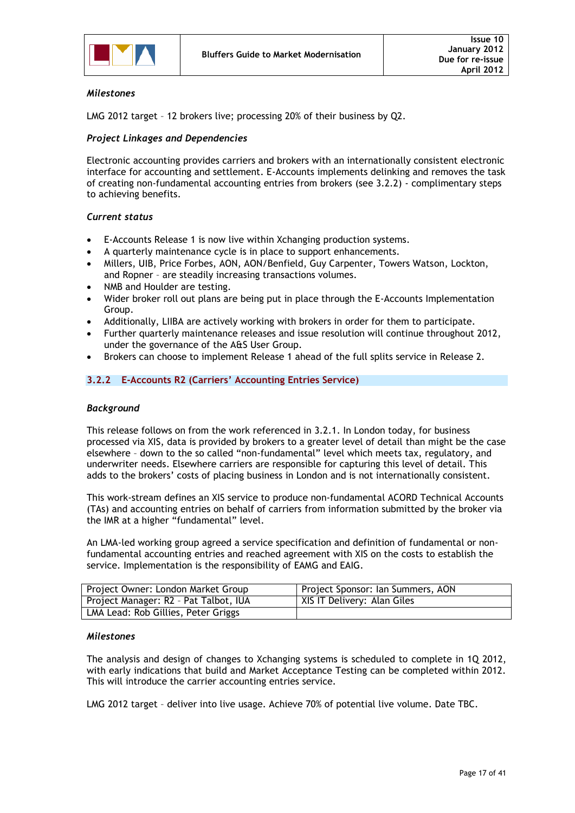

### *Milestones*

LMG 2012 target – 12 brokers live; processing 20% of their business by Q2.

### *Project Linkages and Dependencies*

Electronic accounting provides carriers and brokers with an internationally consistent electronic interface for accounting and settlement. E-Accounts implements delinking and removes the task of creating non-fundamental accounting entries from brokers (see 3.2.2) - complimentary steps to achieving benefits.

### *Current status*

- E-Accounts Release 1 is now live within Xchanging production systems.
- A quarterly maintenance cycle is in place to support enhancements.
- Millers, UIB, Price Forbes, AON, AON/Benfield, Guy Carpenter, Towers Watson, Lockton, and Ropner – are steadily increasing transactions volumes.
- NMB and Houlder are testing.
- Wider broker roll out plans are being put in place through the E-Accounts Implementation Group.
- Additionally, LIIBA are actively working with brokers in order for them to participate.
- Further quarterly maintenance releases and issue resolution will continue throughout 2012, under the governance of the A&S User Group.
- Brokers can choose to implement Release 1 ahead of the full splits service in Release 2.

### <span id="page-16-0"></span>**3.2.2 E-Accounts R2 (Carriers' Accounting Entries Service)**

### *Background*

This release follows on from the work referenced in 3.2.1. In London today, for business processed via XIS, data is provided by brokers to a greater level of detail than might be the case elsewhere – down to the so called "non-fundamental" level which meets tax, regulatory, and underwriter needs. Elsewhere carriers are responsible for capturing this level of detail. This adds to the brokers" costs of placing business in London and is not internationally consistent.

This work-stream defines an XIS service to produce non-fundamental ACORD Technical Accounts (TAs) and accounting entries on behalf of carriers from information submitted by the broker via the IMR at a higher "fundamental" level.

An LMA-led working group agreed a service specification and definition of fundamental or nonfundamental accounting entries and reached agreement with XIS on the costs to establish the service. Implementation is the responsibility of EAMG and EAIG.

| Project Owner: London Market Group    | Project Sponsor: Ian Summers, AON |
|---------------------------------------|-----------------------------------|
| Project Manager: R2 - Pat Talbot, IUA | XIS IT Delivery: Alan Giles       |
| LMA Lead: Rob Gillies, Peter Griggs   |                                   |

### *Milestones*

The analysis and design of changes to Xchanging systems is scheduled to complete in 1Q 2012, with early indications that build and Market Acceptance Testing can be completed within 2012. This will introduce the carrier accounting entries service.

LMG 2012 target – deliver into live usage. Achieve 70% of potential live volume. Date TBC.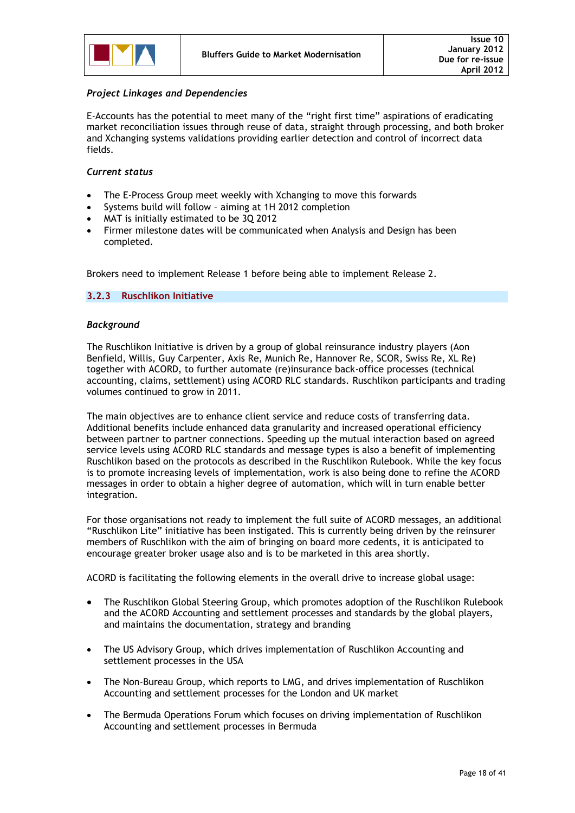

### *Project Linkages and Dependencies*

E-Accounts has the potential to meet many of the "right first time" aspirations of eradicating market reconciliation issues through reuse of data, straight through processing, and both broker and Xchanging systems validations providing earlier detection and control of incorrect data fields.

### *Current status*

- The E-Process Group meet weekly with Xchanging to move this forwards
- Systems build will follow aiming at 1H 2012 completion
- MAT is initially estimated to be 3Q 2012
- Firmer milestone dates will be communicated when Analysis and Design has been completed.

Brokers need to implement Release 1 before being able to implement Release 2.

### <span id="page-17-0"></span>**3.2.3 Ruschlikon Initiative**

### *Background*

The Ruschlikon Initiative is driven by a group of global reinsurance industry players (Aon Benfield, Willis, Guy Carpenter, Axis Re, Munich Re, Hannover Re, SCOR, Swiss Re, XL Re) together with ACORD, to further automate (re)insurance back-office processes (technical accounting, claims, settlement) using ACORD RLC standards. Ruschlikon participants and trading volumes continued to grow in 2011.

The main objectives are to enhance client service and reduce costs of transferring data. Additional benefits include enhanced data granularity and increased operational efficiency between partner to partner connections. Speeding up the mutual interaction based on agreed service levels using ACORD RLC standards and message types is also a benefit of implementing Ruschlikon based on the protocols as described in the Ruschlikon Rulebook. While the key focus is to promote increasing levels of implementation, work is also being done to refine the ACORD messages in order to obtain a higher degree of automation, which will in turn enable better integration.

For those organisations not ready to implement the full suite of ACORD messages, an additional "Ruschlikon Lite" initiative has been instigated. This is currently being driven by the reinsurer members of Ruschlikon with the aim of bringing on board more cedents, it is anticipated to encourage greater broker usage also and is to be marketed in this area shortly.

ACORD is facilitating the following elements in the overall drive to increase global usage:

- The Ruschlikon Global Steering Group, which promotes adoption of the Ruschlikon Rulebook and the ACORD Accounting and settlement processes and standards by the global players, and maintains the documentation, strategy and branding
- The US Advisory Group, which drives implementation of Ruschlikon Accounting and settlement processes in the USA
- The Non-Bureau Group, which reports to LMG, and drives implementation of Ruschlikon Accounting and settlement processes for the London and UK market
- The Bermuda Operations Forum which focuses on driving implementation of Ruschlikon Accounting and settlement processes in Bermuda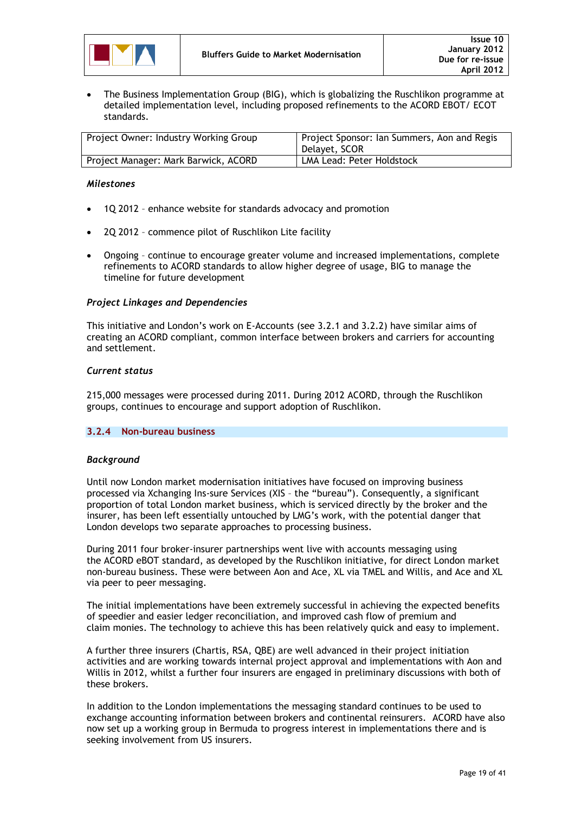

 The Business Implementation Group (BIG), which is globalizing the Ruschlikon programme at detailed implementation level, including proposed refinements to the ACORD EBOT/ ECOT standards.

| Project Owner: Industry Working Group | Project Sponsor: Ian Summers, Aon and Regis<br>  Delavet. SCOR |
|---------------------------------------|----------------------------------------------------------------|
| Project Manager: Mark Barwick, ACORD  | LMA Lead: Peter Holdstock                                      |

### *Milestones*

- 1Q 2012 enhance website for standards advocacy and promotion
- 2Q 2012 commence pilot of Ruschlikon Lite facility
- Ongoing continue to encourage greater volume and increased implementations, complete refinements to ACORD standards to allow higher degree of usage, BIG to manage the timeline for future development

### *Project Linkages and Dependencies*

This initiative and London"s work on E-Accounts (see 3.2.1 and 3.2.2) have similar aims of creating an ACORD compliant, common interface between brokers and carriers for accounting and settlement.

### *Current status*

215,000 messages were processed during 2011. During 2012 ACORD, through the Ruschlikon groups, continues to encourage and support adoption of Ruschlikon.

### <span id="page-18-0"></span>**3.2.4 Non-bureau business**

### *Background*

Until now London market modernisation initiatives have focused on improving business processed via Xchanging Ins-sure Services (XIS – the "bureau"). Consequently, a significant proportion of total London market business, which is serviced directly by the broker and the insurer, has been left essentially untouched by LMG"s work, with the potential danger that London develops two separate approaches to processing business.

During 2011 four broker-insurer partnerships went live with accounts messaging using the ACORD eBOT standard, as developed by the Ruschlikon initiative, for direct London market non-bureau business. These were between Aon and Ace, XL via TMEL and Willis, and Ace and XL via peer to peer messaging.

The initial implementations have been extremely successful in achieving the expected benefits of speedier and easier ledger reconciliation, and improved cash flow of premium and claim monies. The technology to achieve this has been relatively quick and easy to implement.

A further three insurers (Chartis, RSA, QBE) are well advanced in their project initiation activities and are working towards internal project approval and implementations with Aon and Willis in 2012, whilst a further four insurers are engaged in preliminary discussions with both of these brokers.

In addition to the London implementations the messaging standard continues to be used to exchange accounting information between brokers and continental reinsurers. ACORD have also now set up a working group in Bermuda to progress interest in implementations there and is seeking involvement from US insurers.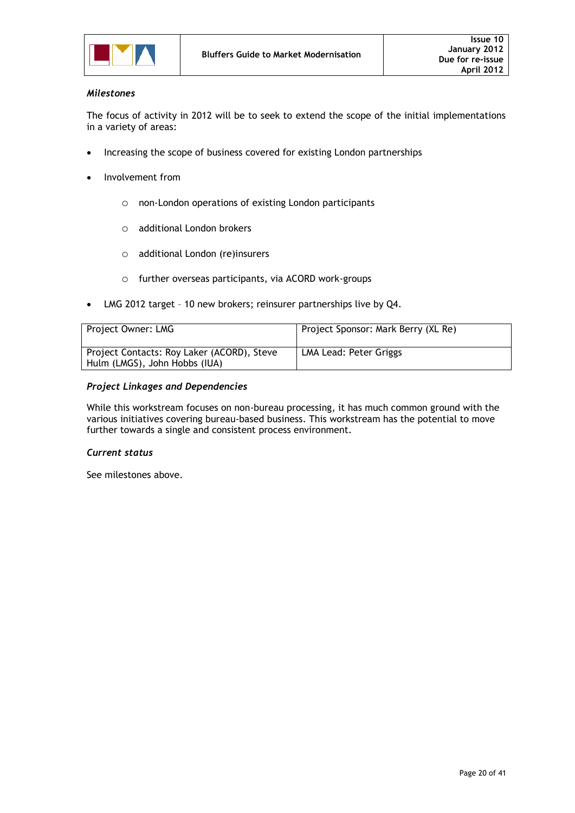

### *Milestones*

The focus of activity in 2012 will be to seek to extend the scope of the initial implementations in a variety of areas:

- Increasing the scope of business covered for existing London partnerships
- Involvement from
	- o non-London operations of existing London participants
	- o additional London brokers
	- o additional London (re)insurers
	- o further overseas participants, via ACORD work-groups
- LMG 2012 target 10 new brokers; reinsurer partnerships live by Q4.

| Project Owner: LMG                                                          | Project Sponsor: Mark Berry (XL Re) |
|-----------------------------------------------------------------------------|-------------------------------------|
| Project Contacts: Roy Laker (ACORD), Steve<br>Hulm (LMGS), John Hobbs (IUA) | LMA Lead: Peter Griggs              |

### *Project Linkages and Dependencies*

While this workstream focuses on non-bureau processing, it has much common ground with the various initiatives covering bureau-based business. This workstream has the potential to move further towards a single and consistent process environment.

### *Current status*

See milestones above.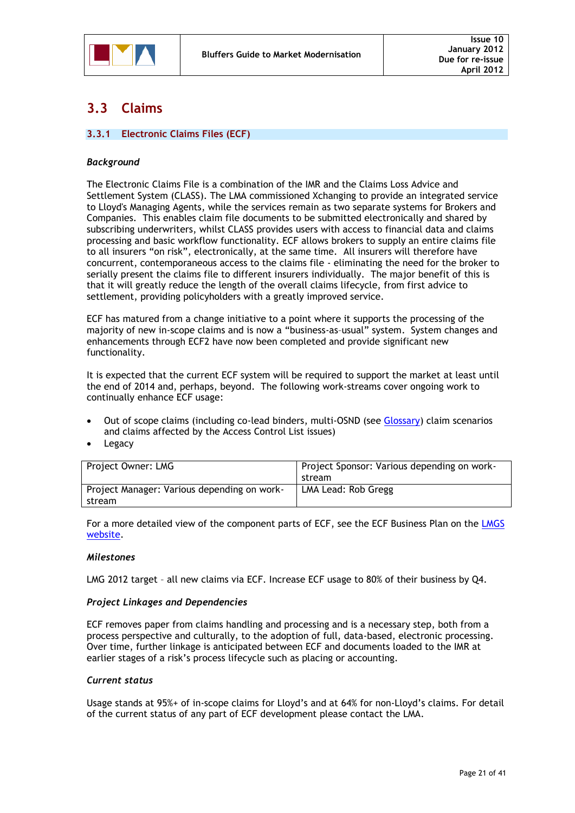

### <span id="page-20-0"></span>**3.3 Claims**

### <span id="page-20-1"></span>**3.3.1 Electronic Claims Files (ECF)**

### *Background*

The Electronic Claims File is a combination of the IMR and the Claims Loss Advice and Settlement System (CLASS). The LMA commissioned Xchanging to provide an integrated service to Lloyd's Managing Agents, while the services remain as two separate systems for Brokers and Companies. This enables claim file documents to be submitted electronically and shared by subscribing underwriters, whilst CLASS provides users with access to financial data and claims processing and basic workflow functionality. ECF allows brokers to supply an entire claims file to all insurers "on risk", electronically, at the same time. All insurers will therefore have concurrent, contemporaneous access to the claims file - eliminating the need for the broker to serially present the claims file to different insurers individually. The major benefit of this is that it will greatly reduce the length of the overall claims lifecycle, from first advice to settlement, providing policyholders with a greatly improved service.

ECF has matured from a change initiative to a point where it supports the processing of the majority of new in-scope claims and is now a "business-as–usual" system. System changes and enhancements through ECF2 have now been completed and provide significant new functionality.

It is expected that the current ECF system will be required to support the market at least until the end of 2014 and, perhaps, beyond. The following work-streams cover ongoing work to continually enhance ECF usage:

- Out of scope claims (including co-lead binders, multi-OSND (see [Glossary\)](#page-29-0) claim scenarios and claims affected by the Access Control List issues)
- Legacy

| Project Owner: LMG                          | Project Sponsor: Various depending on work- |
|---------------------------------------------|---------------------------------------------|
|                                             | stream                                      |
| Project Manager: Various depending on work- | LMA Lead: Rob Gregg                         |
| stream                                      |                                             |

For a more detailed view of the component parts of ECF, see the ECF Business Plan on the LMGS [website.](http://www.marketreform.co.uk/index.php?option=com_content&view=category&id=32&Itemid=133)

### *Milestones*

LMG 2012 target – all new claims via ECF. Increase ECF usage to 80% of their business by Q4.

### *Project Linkages and Dependencies*

ECF removes paper from claims handling and processing and is a necessary step, both from a process perspective and culturally, to the adoption of full, data-based, electronic processing. Over time, further linkage is anticipated between ECF and documents loaded to the IMR at earlier stages of a risk"s process lifecycle such as placing or accounting.

### *Current status*

Usage stands at 95%+ of in-scope claims for Lloyd"s and at 64% for non-Lloyd"s claims. For detail of the current status of any part of ECF development please contact the LMA.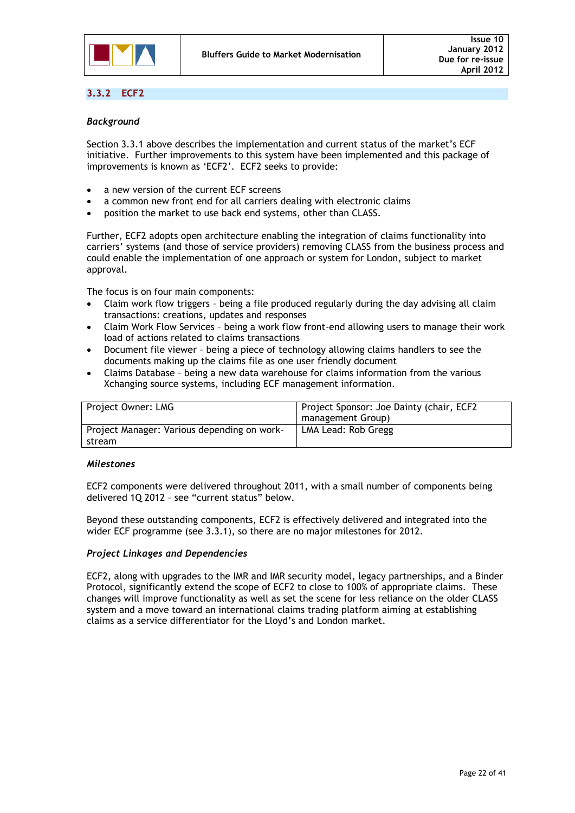

### <span id="page-21-0"></span>**3.3.2 ECF2**

### *Background*

Section 3.3.1 above describes the implementation and current status of the market's ECF initiative. Further improvements to this system have been implemented and this package of improvements is known as 'ECF2'. ECF2 seeks to provide:

- a new version of the current ECF screens
- a common new front end for all carriers dealing with electronic claims
- position the market to use back end systems, other than CLASS.

Further, ECF2 adopts open architecture enabling the integration of claims functionality into carriers" systems (and those of service providers) removing CLASS from the business process and could enable the implementation of one approach or system for London, subject to market approval.

The focus is on four main components:

- Claim work flow triggers being a file produced regularly during the day advising all claim transactions: creations, updates and responses
- Claim Work Flow Services being a work flow front-end allowing users to manage their work load of actions related to claims transactions
- Document file viewer being a piece of technology allowing claims handlers to see the documents making up the claims file as one user friendly document
- Claims Database being a new data warehouse for claims information from the various Xchanging source systems, including ECF management information.

| Project Owner: LMG                                    | Project Sponsor: Joe Dainty (chair, ECF2)<br>management Group) |
|-------------------------------------------------------|----------------------------------------------------------------|
| Project Manager: Various depending on work-<br>stream | LMA Lead: Rob Gregg                                            |

### *Milestones*

ECF2 components were delivered throughout 2011, with a small number of components being delivered 1Q 2012 – see "current status" below.

Beyond these outstanding components, ECF2 is effectively delivered and integrated into the wider ECF programme (see 3.3.1), so there are no major milestones for 2012.

### *Project Linkages and Dependencies*

ECF2, along with upgrades to the IMR and IMR security model, legacy partnerships, and a Binder Protocol, significantly extend the scope of ECF2 to close to 100% of appropriate claims. These changes will improve functionality as well as set the scene for less reliance on the older CLASS system and a move toward an international claims trading platform aiming at establishing claims as a service differentiator for the Lloyd"s and London market.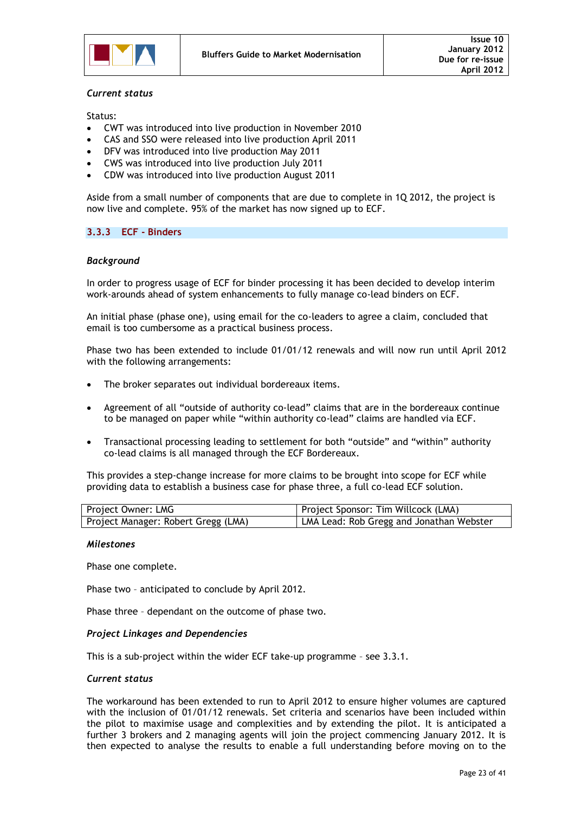

### *Current status*

Status:

- CWT was introduced into live production in November 2010
- CAS and SSO were released into live production April 2011
- DFV was introduced into live production May 2011
- CWS was introduced into live production July 2011
- CDW was introduced into live production August 2011

Aside from a small number of components that are due to complete in 1Q 2012, the project is now live and complete. 95% of the market has now signed up to ECF.

### <span id="page-22-0"></span>**3.3.3 ECF - Binders**

### *Background*

In order to progress usage of ECF for binder processing it has been decided to develop interim work-arounds ahead of system enhancements to fully manage co-lead binders on ECF.

An initial phase (phase one), using email for the co-leaders to agree a claim, concluded that email is too cumbersome as a practical business process.

Phase two has been extended to include 01/01/12 renewals and will now run until April 2012 with the following arrangements:

- The broker separates out individual bordereaux items.
- Agreement of all "outside of authority co-lead" claims that are in the bordereaux continue to be managed on paper while "within authority co-lead" claims are handled via ECF.
- Transactional processing leading to settlement for both "outside" and "within" authority co-lead claims is all managed through the ECF Bordereaux.

This provides a step-change increase for more claims to be brought into scope for ECF while providing data to establish a business case for phase three, a full co-lead ECF solution.

| Project Owner: LMG                  | Project Sponsor: Tim Willcock (LMA)      |
|-------------------------------------|------------------------------------------|
| Project Manager: Robert Gregg (LMA) | LMA Lead: Rob Gregg and Jonathan Webster |

#### *Milestones*

Phase one complete.

Phase two – anticipated to conclude by April 2012.

Phase three – dependant on the outcome of phase two.

### *Project Linkages and Dependencies*

This is a sub-project within the wider ECF take-up programme – see 3.3.1.

#### *Current status*

The workaround has been extended to run to April 2012 to ensure higher volumes are captured with the inclusion of 01/01/12 renewals. Set criteria and scenarios have been included within the pilot to maximise usage and complexities and by extending the pilot. It is anticipated a further 3 brokers and 2 managing agents will join the project commencing January 2012. It is then expected to analyse the results to enable a full understanding before moving on to the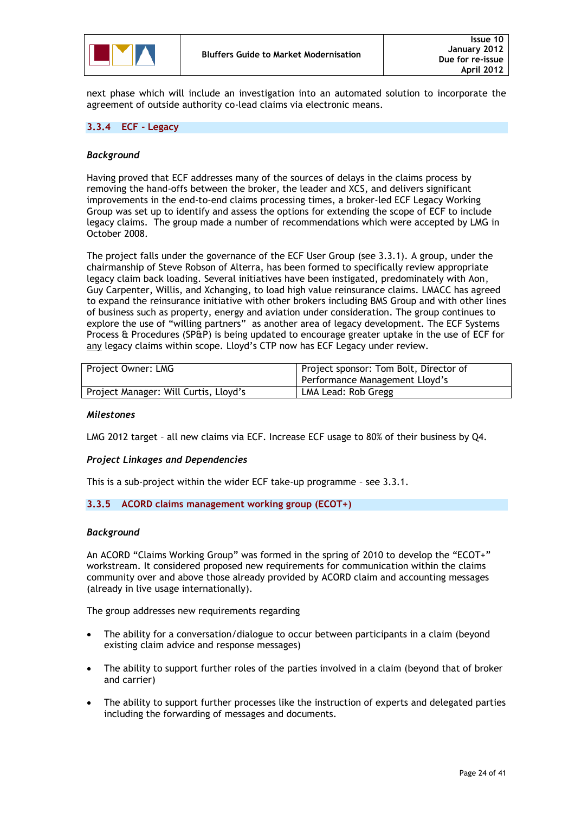

next phase which will include an investigation into an automated solution to incorporate the agreement of outside authority co-lead claims via electronic means.

### <span id="page-23-0"></span>**3.3.4 ECF - Legacy**

### *Background*

Having proved that ECF addresses many of the sources of delays in the claims process by removing the hand-offs between the broker, the leader and XCS, and delivers significant improvements in the end-to-end claims processing times, a broker-led ECF Legacy Working Group was set up to identify and assess the options for extending the scope of ECF to include legacy claims. The group made a number of recommendations which were accepted by LMG in October 2008.

The project falls under the governance of the ECF User Group (see 3.3.1). A group, under the chairmanship of Steve Robson of Alterra, has been formed to specifically review appropriate legacy claim back loading. Several initiatives have been instigated, predominately with Aon, Guy Carpenter, Willis, and Xchanging, to load high value reinsurance claims. LMACC has agreed to expand the reinsurance initiative with other brokers including BMS Group and with other lines of business such as property, energy and aviation under consideration. The group continues to explore the use of "willing partners" as another area of legacy development. The ECF Systems Process & Procedures (SP&P) is being updated to encourage greater uptake in the use of ECF for any legacy claims within scope. Lloyd"s CTP now has ECF Legacy under review.

| Project Owner: LMG                    | Project sponsor: Tom Bolt, Director of<br>Performance Management Lloyd's |
|---------------------------------------|--------------------------------------------------------------------------|
| Project Manager: Will Curtis, Lloyd's | LMA Lead: Rob Gregg                                                      |

### *Milestones*

LMG 2012 target – all new claims via ECF. Increase ECF usage to 80% of their business by Q4.

### *Project Linkages and Dependencies*

This is a sub-project within the wider ECF take-up programme – see 3.3.1.

### <span id="page-23-1"></span>**3.3.5 ACORD claims management working group (ECOT+)**

### *Background*

An ACORD "Claims Working Group" was formed in the spring of 2010 to develop the "ECOT+" workstream. It considered proposed new requirements for communication within the claims community over and above those already provided by ACORD claim and accounting messages (already in live usage internationally).

The group addresses new requirements regarding

- The ability for a conversation/dialogue to occur between participants in a claim (beyond existing claim advice and response messages)
- The ability to support further roles of the parties involved in a claim (beyond that of broker and carrier)
- The ability to support further processes like the instruction of experts and delegated parties including the forwarding of messages and documents.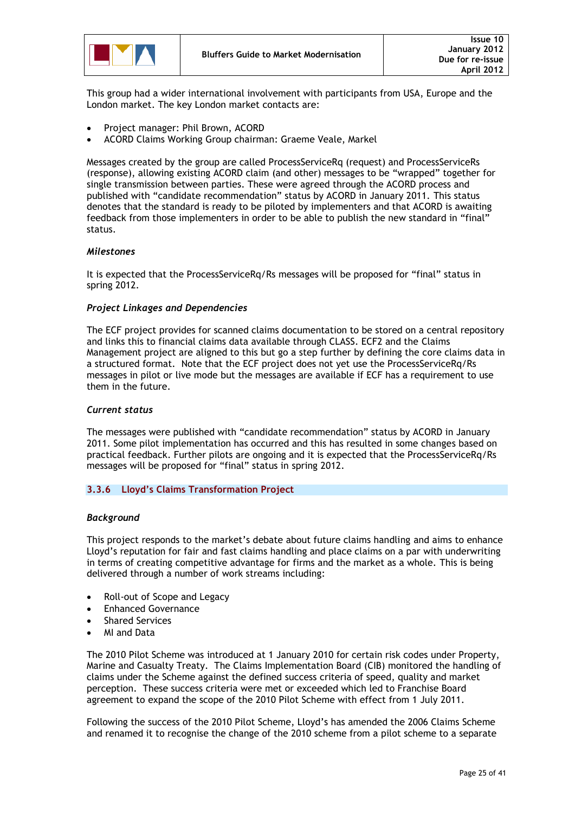This group had a wider international involvement with participants from USA, Europe and the London market. The key London market contacts are:

- Project manager: Phil Brown, ACORD
- ACORD Claims Working Group chairman: Graeme Veale, Markel

Messages created by the group are called ProcessServiceRq (request) and ProcessServiceRs (response), allowing existing ACORD claim (and other) messages to be "wrapped" together for single transmission between parties. These were agreed through the ACORD process and published with "candidate recommendation" status by ACORD in January 2011. This status denotes that the standard is ready to be piloted by implementers and that ACORD is awaiting feedback from those implementers in order to be able to publish the new standard in "final" status.

### *Milestones*

It is expected that the ProcessServiceRq/Rs messages will be proposed for "final" status in spring 2012.

### *Project Linkages and Dependencies*

The ECF project provides for scanned claims documentation to be stored on a central repository and links this to financial claims data available through CLASS. ECF2 and the Claims Management project are aligned to this but go a step further by defining the core claims data in a structured format. Note that the ECF project does not yet use the ProcessServiceRq/Rs messages in pilot or live mode but the messages are available if ECF has a requirement to use them in the future.

### *Current status*

The messages were published with "candidate recommendation" status by ACORD in January 2011. Some pilot implementation has occurred and this has resulted in some changes based on practical feedback. Further pilots are ongoing and it is expected that the ProcessServiceRq/Rs messages will be proposed for "final" status in spring 2012.

### <span id="page-24-0"></span>**3.3.6 Lloyd's Claims Transformation Project**

### *Background*

This project responds to the market"s debate about future claims handling and aims to enhance Lloyd"s reputation for fair and fast claims handling and place claims on a par with underwriting in terms of creating competitive advantage for firms and the market as a whole. This is being delivered through a number of work streams including:

- Roll-out of Scope and Legacy
- Enhanced Governance
- Shared Services
- MI and Data

The 2010 Pilot Scheme was introduced at 1 January 2010 for certain risk codes under Property, Marine and Casualty Treaty. The Claims Implementation Board (CIB) monitored the handling of claims under the Scheme against the defined success criteria of speed, quality and market perception. These success criteria were met or exceeded which led to Franchise Board agreement to expand the scope of the 2010 Pilot Scheme with effect from 1 July 2011.

Following the success of the 2010 Pilot Scheme, Lloyd"s has amended the 2006 Claims Scheme and renamed it to recognise the change of the 2010 scheme from a pilot scheme to a separate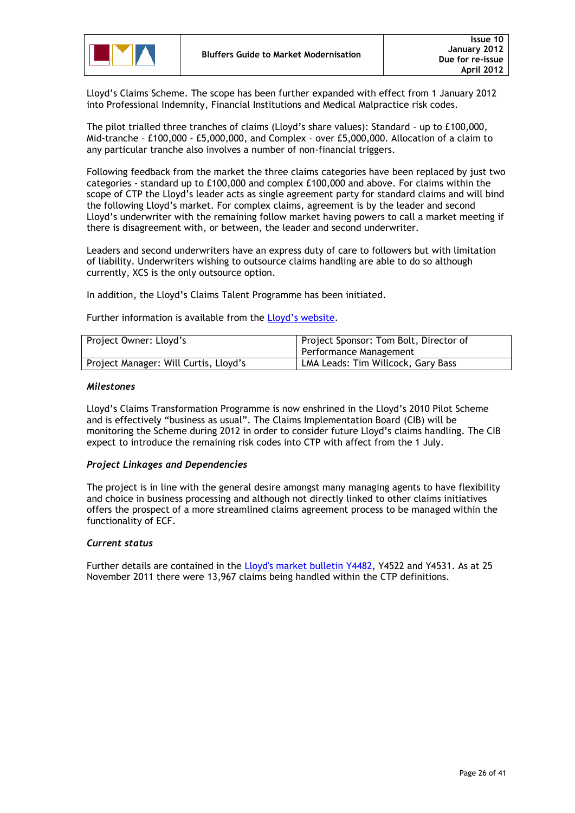

Lloyd"s Claims Scheme. The scope has been further expanded with effect from 1 January 2012 into Professional Indemnity, Financial Institutions and Medical Malpractice risk codes.

The pilot trialled three tranches of claims (Lloyd"s share values): Standard - up to £100,000, Mid-tranche – £100,000 - £5,000,000, and Complex – over £5,000,000. Allocation of a claim to any particular tranche also involves a number of non-financial triggers.

Following feedback from the market the three claims categories have been replaced by just two categories - standard up to £100,000 and complex £100,000 and above. For claims within the scope of CTP the Lloyd"s leader acts as single agreement party for standard claims and will bind the following Lloyd"s market. For complex claims, agreement is by the leader and second Lloyd"s underwriter with the remaining follow market having powers to call a market meeting if there is disagreement with, or between, the leader and second underwriter.

Leaders and second underwriters have an express duty of care to followers but with limitation of liability. Underwriters wishing to outsource claims handling are able to do so although currently, XCS is the only outsource option.

In addition, the Lloyd"s Claims Talent Programme has been initiated.

Further information is available from the Lloyd's website.

| Project Owner: Lloyd's                | Project Sponsor: Tom Bolt, Director of<br>Performance Management |
|---------------------------------------|------------------------------------------------------------------|
| Project Manager: Will Curtis, Lloyd's | LMA Leads: Tim Willcock, Gary Bass                               |

### *Milestones*

Lloyd"s Claims Transformation Programme is now enshrined in the Lloyd"s 2010 Pilot Scheme and is effectively "business as usual". The Claims Implementation Board (CIB) will be monitoring the Scheme during 2012 in order to consider future Lloyd"s claims handling. The CIB expect to introduce the remaining risk codes into CTP with affect from the 1 July.

### *Project Linkages and Dependencies*

The project is in line with the general desire amongst many managing agents to have flexibility and choice in business processing and although not directly linked to other claims initiatives offers the prospect of a more streamlined claims agreement process to be managed within the functionality of ECF.

### *Current status*

Further details are contained in the [Lloyd's market bulletin Y4482,](http://www.lloyds.com/~/media/Files/The%20Market/Communications/Market%20Bulletins/2011/04/Y4482.pdf) Y4522 and Y4531. As at 25 November 2011 there were 13,967 claims being handled within the CTP definitions.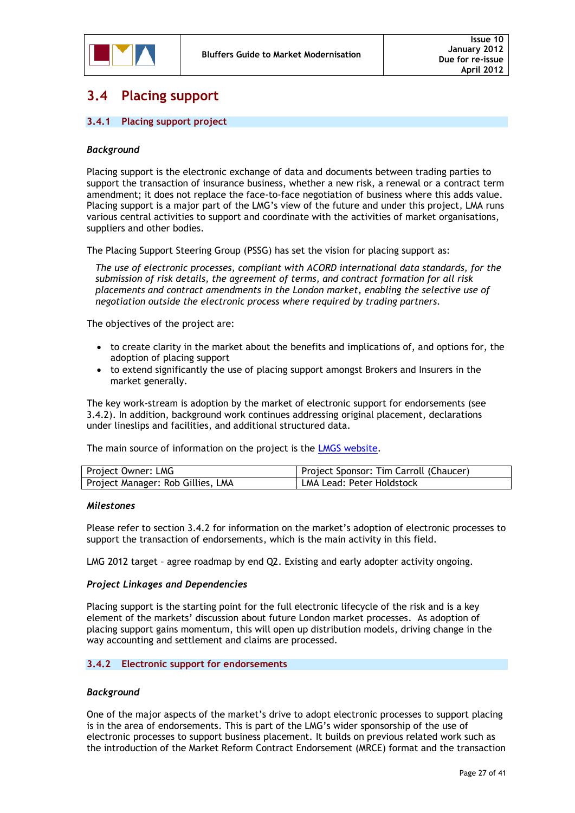### <span id="page-26-0"></span>**3.4 Placing support**

### <span id="page-26-1"></span>**3.4.1 Placing support project**

### *Background*

Placing support is the electronic exchange of data and documents between trading parties to support the transaction of insurance business, whether a new risk, a renewal or a contract term amendment; it does not replace the face-to-face negotiation of business where this adds value. Placing support is a major part of the LMG's view of the future and under this project, LMA runs various central activities to support and coordinate with the activities of market organisations, suppliers and other bodies.

The Placing Support Steering Group (PSSG) has set the vision for placing support as:

*The use of electronic processes, compliant with ACORD international data standards, for the submission of risk details, the agreement of terms, and contract formation for all risk placements and contract amendments in the London market, enabling the selective use of negotiation outside the electronic process where required by trading partners.*

The objectives of the project are:

- to create clarity in the market about the benefits and implications of, and options for, the adoption of placing support
- to extend significantly the use of placing support amongst Brokers and Insurers in the market generally.

The key work-stream is adoption by the market of electronic support for endorsements (see 3.4.2). In addition, background work continues addressing original placement, declarations under lineslips and facilities, and additional structured data.

The main source of information on the project is the **LMGS** [website.](http://www.marketreform.co.uk/index.php?option=com_content&view=article&id=12&Itemid=138&2ced3df0a1c08ee30f41a6e26bbeabd2=f29e1a9cc9dae5d1890302fc452d871e)

| Project Owner: LMG                | Project Sponsor: Tim Carroll (Chaucer) |
|-----------------------------------|----------------------------------------|
| Project Manager: Rob Gillies, LMA | LMA Lead: Peter Holdstock              |

### *Milestones*

Please refer to section 3.4.2 for information on the market"s adoption of electronic processes to support the transaction of endorsements, which is the main activity in this field.

LMG 2012 target – agree roadmap by end Q2. Existing and early adopter activity ongoing.

### *Project Linkages and Dependencies*

Placing support is the starting point for the full electronic lifecycle of the risk and is a key element of the markets" discussion about future London market processes. As adoption of placing support gains momentum, this will open up distribution models, driving change in the way accounting and settlement and claims are processed.

### <span id="page-26-2"></span>**3.4.2 Electronic support for endorsements**

### *Background*

One of the major aspects of the market"s drive to adopt electronic processes to support placing is in the area of endorsements. This is part of the LMG"s wider sponsorship of the use of electronic processes to support business placement. It builds on previous related work such as the introduction of the Market Reform Contract Endorsement (MRCE) format and the transaction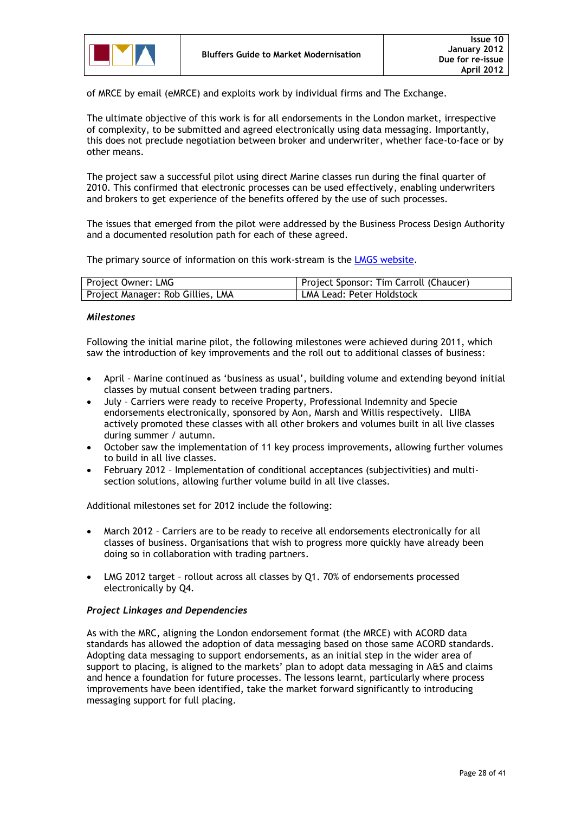

of MRCE by email (eMRCE) and exploits work by individual firms and The Exchange.

The ultimate objective of this work is for all endorsements in the London market, irrespective of complexity, to be submitted and agreed electronically using data messaging. Importantly, this does not preclude negotiation between broker and underwriter, whether face-to-face or by other means.

The project saw a successful pilot using direct Marine classes run during the final quarter of 2010. This confirmed that electronic processes can be used effectively, enabling underwriters and brokers to get experience of the benefits offered by the use of such processes.

The issues that emerged from the pilot were addressed by the Business Process Design Authority and a documented resolution path for each of these agreed.

The primary source of information on this work-stream is the LMGS [website.](http://www.marketreform.co.uk/index.php?option=com_content&view=category&id=95&Itemid=205&2ced3df0a1c08ee30f41a6e26bbeabd2=f29e1a9cc9dae5d1890302fc452d871e)

| Project Owner: LMG                | Project Sponsor: Tim Carroll (Chaucer) |
|-----------------------------------|----------------------------------------|
| Project Manager: Rob Gillies, LMA | LMA Lead: Peter Holdstock              |

### *Milestones*

Following the initial marine pilot, the following milestones were achieved during 2011, which saw the introduction of key improvements and the roll out to additional classes of business:

- April Marine continued as "business as usual", building volume and extending beyond initial classes by mutual consent between trading partners.
- July Carriers were ready to receive Property, Professional Indemnity and Specie endorsements electronically, sponsored by Aon, Marsh and Willis respectively. LIIBA actively promoted these classes with all other brokers and volumes built in all live classes during summer / autumn.
- October saw the implementation of 11 key process improvements, allowing further volumes to build in all live classes.
- February 2012 Implementation of conditional acceptances (subjectivities) and multisection solutions, allowing further volume build in all live classes.

Additional milestones set for 2012 include the following:

- March 2012 Carriers are to be ready to receive all endorsements electronically for all classes of business. Organisations that wish to progress more quickly have already been doing so in collaboration with trading partners.
- LMG 2012 target rollout across all classes by Q1. 70% of endorsements processed electronically by Q4.

### *Project Linkages and Dependencies*

As with the MRC, aligning the London endorsement format (the MRCE) with ACORD data standards has allowed the adoption of data messaging based on those same ACORD standards. Adopting data messaging to support endorsements, as an initial step in the wider area of support to placing, is aligned to the markets' plan to adopt data messaging in A&S and claims and hence a foundation for future processes. The lessons learnt, particularly where process improvements have been identified, take the market forward significantly to introducing messaging support for full placing.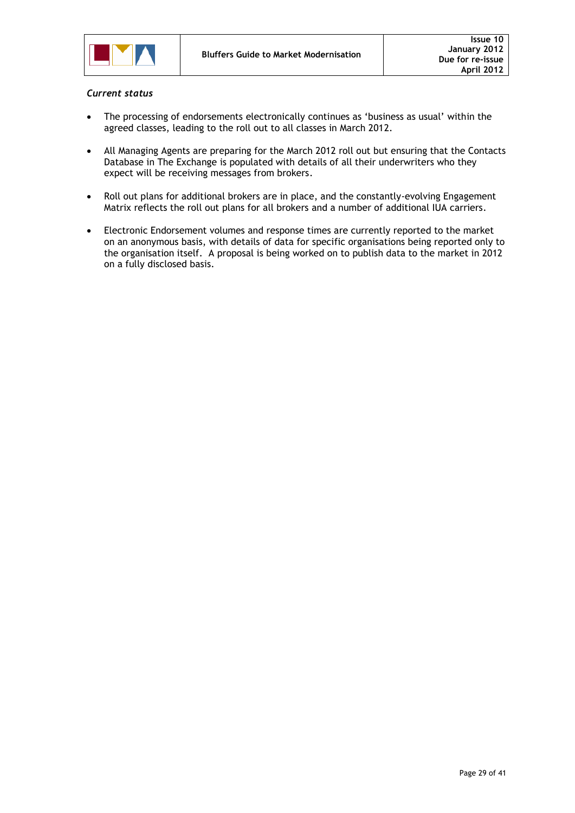

### *Current status*

- The processing of endorsements electronically continues as "business as usual" within the agreed classes, leading to the roll out to all classes in March 2012.
- All Managing Agents are preparing for the March 2012 roll out but ensuring that the Contacts Database in The Exchange is populated with details of all their underwriters who they expect will be receiving messages from brokers.
- Roll out plans for additional brokers are in place, and the constantly-evolving Engagement Matrix reflects the roll out plans for all brokers and a number of additional IUA carriers.
- Electronic Endorsement volumes and response times are currently reported to the market on an anonymous basis, with details of data for specific organisations being reported only to the organisation itself. A proposal is being worked on to publish data to the market in 2012 on a fully disclosed basis.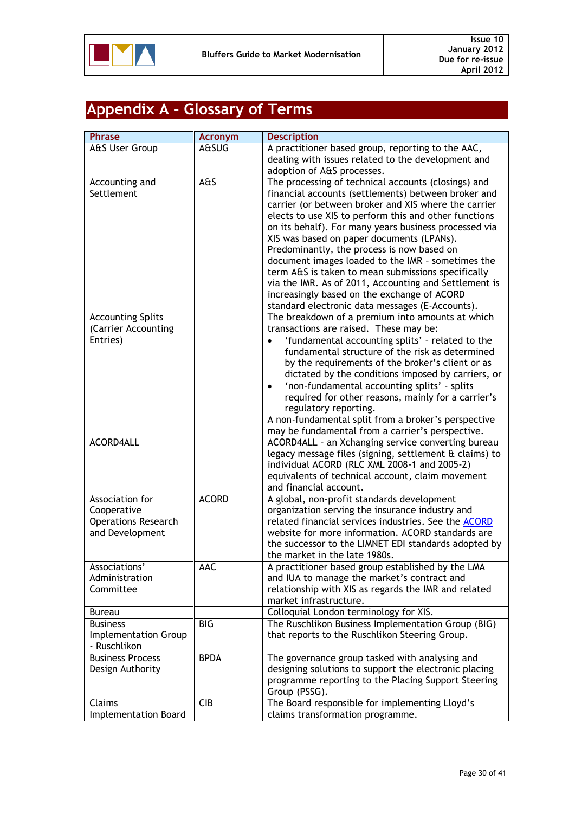

# <span id="page-29-0"></span>**Appendix A – Glossary of Terms**

| <b>Phrase</b>               | <b>Acronym</b> | <b>Description</b>                                        |
|-----------------------------|----------------|-----------------------------------------------------------|
| A&S User Group              | A&SUG          | A practitioner based group, reporting to the AAC,         |
|                             |                | dealing with issues related to the development and        |
|                             |                | adoption of A&S processes.                                |
| Accounting and              | A&S            | The processing of technical accounts (closings) and       |
| Settlement                  |                | financial accounts (settlements) between broker and       |
|                             |                | carrier (or between broker and XIS where the carrier      |
|                             |                | elects to use XIS to perform this and other functions     |
|                             |                | on its behalf). For many years business processed via     |
|                             |                | XIS was based on paper documents (LPANs).                 |
|                             |                | Predominantly, the process is now based on                |
|                             |                | document images loaded to the IMR - sometimes the         |
|                             |                | term A&S is taken to mean submissions specifically        |
|                             |                | via the IMR. As of 2011, Accounting and Settlement is     |
|                             |                | increasingly based on the exchange of ACORD               |
|                             |                | standard electronic data messages (E-Accounts).           |
| <b>Accounting Splits</b>    |                | The breakdown of a premium into amounts at which          |
| (Carrier Accounting         |                | transactions are raised. These may be:                    |
| Entries)                    |                | 'fundamental accounting splits' - related to the          |
|                             |                | fundamental structure of the risk as determined           |
|                             |                | by the requirements of the broker's client or as          |
|                             |                | dictated by the conditions imposed by carriers, or        |
|                             |                | 'non-fundamental accounting splits' - splits<br>$\bullet$ |
|                             |                | required for other reasons, mainly for a carrier's        |
|                             |                | regulatory reporting.                                     |
|                             |                | A non-fundamental split from a broker's perspective       |
|                             |                | may be fundamental from a carrier's perspective.          |
| <b>ACORD4ALL</b>            |                | ACORD4ALL - an Xchanging service converting bureau        |
|                             |                | legacy message files (signing, settlement & claims) to    |
|                             |                | individual ACORD (RLC XML 2008-1 and 2005-2)              |
|                             |                | equivalents of technical account, claim movement          |
|                             |                | and financial account.                                    |
| Association for             | <b>ACORD</b>   | A global, non-profit standards development                |
| Cooperative                 |                | organization serving the insurance industry and           |
| <b>Operations Research</b>  |                | related financial services industries. See the ACORD      |
| and Development             |                | website for more information. ACORD standards are         |
|                             |                | the successor to the LIMNET EDI standards adopted by      |
|                             |                | the market in the late 1980s.                             |
| Associations'               | AAC            | A practitioner based group established by the LMA         |
| Administration              |                | and IUA to manage the market's contract and               |
| Committee                   |                | relationship with XIS as regards the IMR and related      |
|                             |                | market infrastructure.                                    |
| <b>Bureau</b>               |                | Colloquial London terminology for XIS.                    |
| <b>Business</b>             | <b>BIG</b>     | The Ruschlikon Business Implementation Group (BIG)        |
| Implementation Group        |                | that reports to the Ruschlikon Steering Group.            |
| - Ruschlikon                |                |                                                           |
| <b>Business Process</b>     | <b>BPDA</b>    | The governance group tasked with analysing and            |
| Design Authority            |                | designing solutions to support the electronic placing     |
|                             |                | programme reporting to the Placing Support Steering       |
|                             |                | Group (PSSG).                                             |
| Claims                      | <b>CIB</b>     | The Board responsible for implementing Lloyd's            |
| <b>Implementation Board</b> |                | claims transformation programme.                          |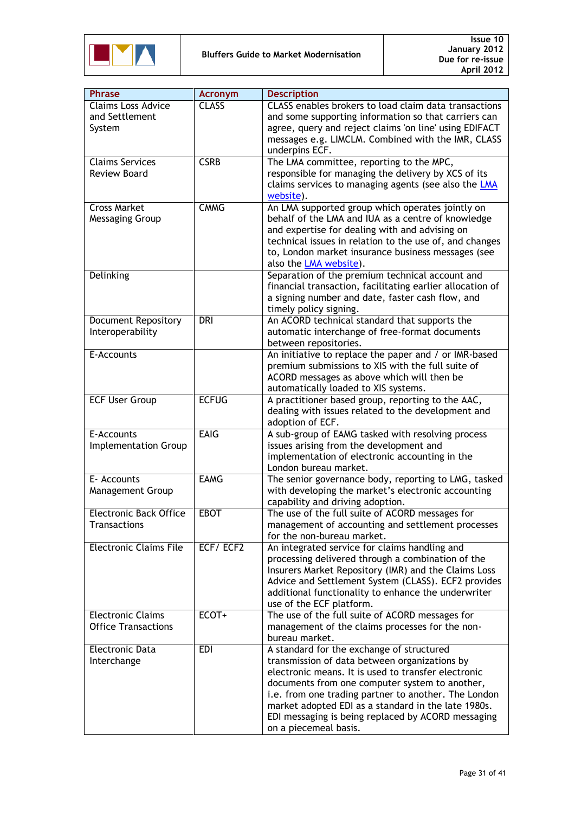

| <b>Phrase</b>                 | <b>Acronym</b> | <b>Description</b>                                        |
|-------------------------------|----------------|-----------------------------------------------------------|
| <b>Claims Loss Advice</b>     | <b>CLASS</b>   | CLASS enables brokers to load claim data transactions     |
| and Settlement                |                | and some supporting information so that carriers can      |
| System                        |                | agree, query and reject claims 'on line' using EDIFACT    |
|                               |                | messages e.g. LIMCLM. Combined with the IMR, CLASS        |
|                               |                | underpins ECF.                                            |
| <b>Claims Services</b>        | <b>CSRB</b>    | The LMA committee, reporting to the MPC,                  |
|                               |                |                                                           |
| <b>Review Board</b>           |                | responsible for managing the delivery by XCS of its       |
|                               |                | claims services to managing agents (see also the LMA      |
|                               |                | website).                                                 |
| <b>Cross Market</b>           | <b>CMMG</b>    | An LMA supported group which operates jointly on          |
| Messaging Group               |                | behalf of the LMA and IUA as a centre of knowledge        |
|                               |                | and expertise for dealing with and advising on            |
|                               |                | technical issues in relation to the use of, and changes   |
|                               |                | to, London market insurance business messages (see        |
|                               |                | also the LMA website).                                    |
| Delinking                     |                | Separation of the premium technical account and           |
|                               |                | financial transaction, facilitating earlier allocation of |
|                               |                | a signing number and date, faster cash flow, and          |
|                               |                | timely policy signing.                                    |
| <b>Document Repository</b>    | <b>DRI</b>     | An ACORD technical standard that supports the             |
| Interoperability              |                | automatic interchange of free-format documents            |
|                               |                | between repositories.                                     |
| E-Accounts                    |                | An initiative to replace the paper and / or IMR-based     |
|                               |                | premium submissions to XIS with the full suite of         |
|                               |                | ACORD messages as above which will then be                |
|                               |                | automatically loaded to XIS systems.                      |
| <b>ECF User Group</b>         | <b>ECFUG</b>   | A practitioner based group, reporting to the AAC,         |
|                               |                | dealing with issues related to the development and        |
|                               |                | adoption of ECF.                                          |
| E-Accounts                    | <b>EAIG</b>    | A sub-group of EAMG tasked with resolving process         |
|                               |                |                                                           |
| Implementation Group          |                | issues arising from the development and                   |
|                               |                | implementation of electronic accounting in the            |
|                               | <b>EAMG</b>    | London bureau market.                                     |
| E- Accounts                   |                | The senior governance body, reporting to LMG, tasked      |
| Management Group              |                | with developing the market's electronic accounting        |
|                               |                | capability and driving adoption.                          |
| <b>Electronic Back Office</b> | <b>EBOT</b>    | The use of the full suite of ACORD messages for           |
| <b>Transactions</b>           |                | management of accounting and settlement processes         |
|                               |                | for the non-bureau market.                                |
| <b>Electronic Claims File</b> | ECF/ECF2       | An integrated service for claims handling and             |
|                               |                | processing delivered through a combination of the         |
|                               |                | Insurers Market Repository (IMR) and the Claims Loss      |
|                               |                | Advice and Settlement System (CLASS). ECF2 provides       |
|                               |                | additional functionality to enhance the underwriter       |
|                               |                | use of the ECF platform.                                  |
| <b>Electronic Claims</b>      | ECOT+          | The use of the full suite of ACORD messages for           |
| <b>Office Transactions</b>    |                | management of the claims processes for the non-           |
|                               |                | bureau market.                                            |
| <b>Electronic Data</b>        | <b>EDI</b>     | A standard for the exchange of structured                 |
| Interchange                   |                | transmission of data between organizations by             |
|                               |                | electronic means. It is used to transfer electronic       |
|                               |                | documents from one computer system to another,            |
|                               |                | i.e. from one trading partner to another. The London      |
|                               |                | market adopted EDI as a standard in the late 1980s.       |
|                               |                | EDI messaging is being replaced by ACORD messaging        |
|                               |                | on a piecemeal basis.                                     |
|                               |                |                                                           |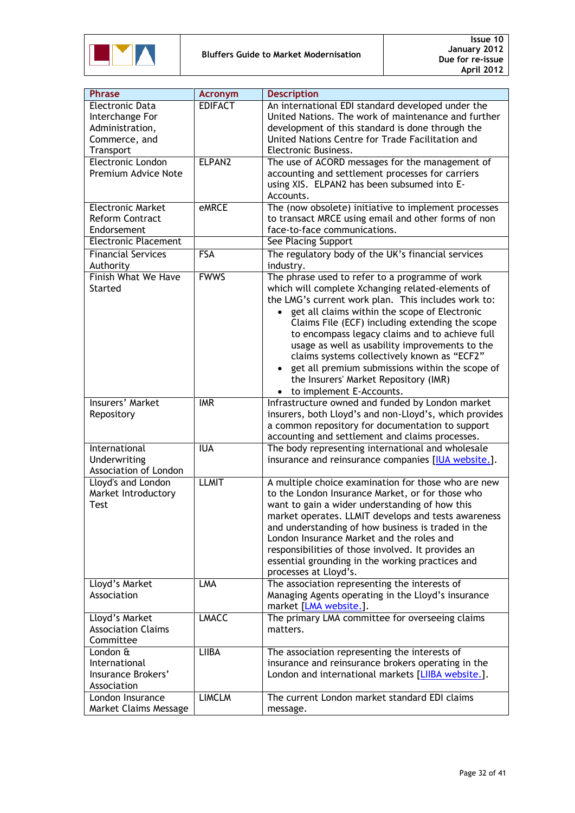

| <b>Phrase</b>                                                                       | <b>Acronym</b> | <b>Description</b>                                                                                                                                                                                                                                                                                                                                                                                                                                                                                                                                      |
|-------------------------------------------------------------------------------------|----------------|---------------------------------------------------------------------------------------------------------------------------------------------------------------------------------------------------------------------------------------------------------------------------------------------------------------------------------------------------------------------------------------------------------------------------------------------------------------------------------------------------------------------------------------------------------|
| Electronic Data<br>Interchange For<br>Administration,<br>Commerce, and<br>Transport | <b>EDIFACT</b> | An international EDI standard developed under the<br>United Nations. The work of maintenance and further<br>development of this standard is done through the<br>United Nations Centre for Trade Facilitation and<br>Electronic Business.                                                                                                                                                                                                                                                                                                                |
| Electronic London<br>Premium Advice Note                                            | ELPAN2         | The use of ACORD messages for the management of<br>accounting and settlement processes for carriers<br>using XIS. ELPAN2 has been subsumed into E-<br>Accounts.                                                                                                                                                                                                                                                                                                                                                                                         |
| <b>Electronic Market</b><br><b>Reform Contract</b><br>Endorsement                   | <b>eMRCE</b>   | The (now obsolete) initiative to implement processes<br>to transact MRCE using email and other forms of non<br>face-to-face communications.                                                                                                                                                                                                                                                                                                                                                                                                             |
| <b>Electronic Placement</b>                                                         |                | See Placing Support                                                                                                                                                                                                                                                                                                                                                                                                                                                                                                                                     |
| <b>Financial Services</b><br>Authority                                              | <b>FSA</b>     | The regulatory body of the UK's financial services<br>industry.                                                                                                                                                                                                                                                                                                                                                                                                                                                                                         |
| <b>Finish What We Have</b><br><b>Started</b>                                        | <b>FWWS</b>    | The phrase used to refer to a programme of work<br>which will complete Xchanging related-elements of<br>the LMG's current work plan. This includes work to:<br>get all claims within the scope of Electronic<br>Claims File (ECF) including extending the scope<br>to encompass legacy claims and to achieve full<br>usage as well as usability improvements to the<br>claims systems collectively known as "ECF2"<br>get all premium submissions within the scope of<br>$\bullet$<br>the Insurers' Market Repository (IMR)<br>to implement E-Accounts. |
| <b>Insurers' Market</b><br>Repository                                               | <b>IMR</b>     | Infrastructure owned and funded by London market<br>insurers, both Lloyd's and non-Lloyd's, which provides<br>a common repository for documentation to support<br>accounting and settlement and claims processes.                                                                                                                                                                                                                                                                                                                                       |
| International<br>Underwriting<br>Association of London                              | <b>IUA</b>     | The body representing international and wholesale<br>insurance and reinsurance companies [IUA website.].                                                                                                                                                                                                                                                                                                                                                                                                                                                |
| Lloyd's and London<br>Market Introductory<br>Test                                   | <b>LLMIT</b>   | A multiple choice examination for those who are new<br>to the London Insurance Market, or for those who<br>want to gain a wider understanding of how this<br>market operates. LLMIT develops and tests awareness<br>and understanding of how business is traded in the<br>London Insurance Market and the roles and<br>responsibilities of those involved. It provides an<br>essential grounding in the working practices and<br>processes at Lloyd's.                                                                                                  |
| Lloyd's Market<br>Association                                                       | <b>LMA</b>     | The association representing the interests of<br>Managing Agents operating in the Lloyd's insurance<br>market [LMA website.].                                                                                                                                                                                                                                                                                                                                                                                                                           |
| Lloyd's Market<br><b>Association Claims</b><br>Committee                            | <b>LMACC</b>   | The primary LMA committee for overseeing claims<br>matters.                                                                                                                                                                                                                                                                                                                                                                                                                                                                                             |
| London &<br>International<br>Insurance Brokers'<br>Association                      | <b>LIIBA</b>   | The association representing the interests of<br>insurance and reinsurance brokers operating in the<br>London and international markets [LIIBA website.].                                                                                                                                                                                                                                                                                                                                                                                               |
| London Insurance<br>Market Claims Message                                           | <b>LIMCLM</b>  | The current London market standard EDI claims<br>message.                                                                                                                                                                                                                                                                                                                                                                                                                                                                                               |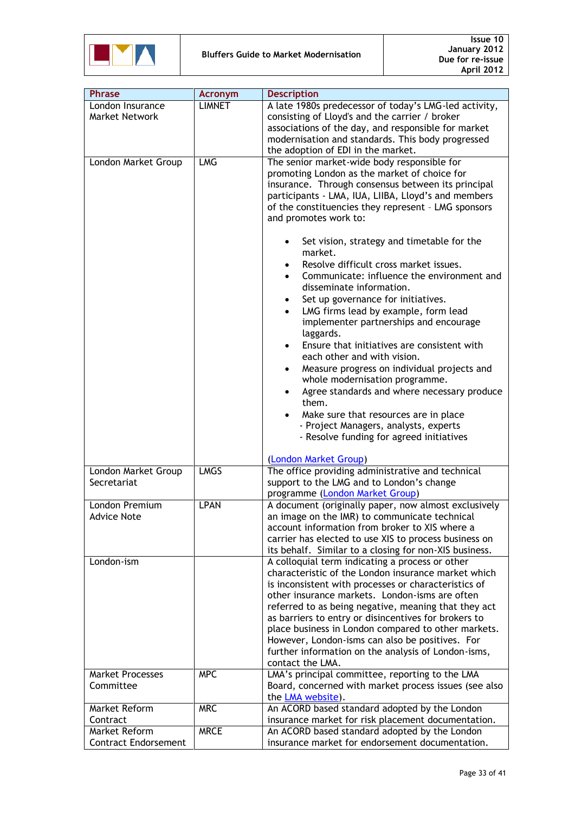

| <b>Phrase</b>               | <b>Acronym</b> | <b>Description</b>                                                                                  |
|-----------------------------|----------------|-----------------------------------------------------------------------------------------------------|
| London Insurance            | <b>LIMNET</b>  | A late 1980s predecessor of today's LMG-led activity,                                               |
| Market Network              |                | consisting of Lloyd's and the carrier / broker                                                      |
|                             |                | associations of the day, and responsible for market                                                 |
|                             |                | modernisation and standards. This body progressed                                                   |
|                             |                | the adoption of EDI in the market.                                                                  |
| London Market Group         | <b>LMG</b>     | The senior market-wide body responsible for                                                         |
|                             |                | promoting London as the market of choice for                                                        |
|                             |                | insurance. Through consensus between its principal                                                  |
|                             |                | participants - LMA, IUA, LIIBA, Lloyd's and members                                                 |
|                             |                | of the constituencies they represent - LMG sponsors                                                 |
|                             |                | and promotes work to:                                                                               |
|                             |                |                                                                                                     |
|                             |                | Set vision, strategy and timetable for the                                                          |
|                             |                | market.                                                                                             |
|                             |                | Resolve difficult cross market issues.                                                              |
|                             |                |                                                                                                     |
|                             |                | Communicate: influence the environment and                                                          |
|                             |                | disseminate information.                                                                            |
|                             |                | Set up governance for initiatives.                                                                  |
|                             |                | LMG firms lead by example, form lead                                                                |
|                             |                | implementer partnerships and encourage                                                              |
|                             |                | laggards.                                                                                           |
|                             |                | Ensure that initiatives are consistent with                                                         |
|                             |                | each other and with vision.                                                                         |
|                             |                | Measure progress on individual projects and                                                         |
|                             |                | whole modernisation programme.                                                                      |
|                             |                | Agree standards and where necessary produce                                                         |
|                             |                | them.                                                                                               |
|                             |                | Make sure that resources are in place                                                               |
|                             |                | - Project Managers, analysts, experts                                                               |
|                             |                | - Resolve funding for agreed initiatives                                                            |
|                             |                |                                                                                                     |
|                             |                | (London Market Group)                                                                               |
| London Market Group         | <b>LMGS</b>    | The office providing administrative and technical                                                   |
| Secretariat                 |                | support to the LMG and to London's change                                                           |
|                             |                | programme (London Market Group)                                                                     |
| London Premium              | <b>LPAN</b>    | A document (originally paper, now almost exclusively                                                |
| <b>Advice Note</b>          |                | an image on the IMR) to communicate technical                                                       |
|                             |                | account information from broker to XIS where a                                                      |
|                             |                | carrier has elected to use XIS to process business on                                               |
|                             |                | its behalf. Similar to a closing for non-XIS business.                                              |
| London-ism                  |                | A colloquial term indicating a process or other                                                     |
|                             |                | characteristic of the London insurance market which                                                 |
|                             |                | is inconsistent with processes or characteristics of                                                |
|                             |                | other insurance markets. London-isms are often                                                      |
|                             |                | referred to as being negative, meaning that they act                                                |
|                             |                | as barriers to entry or disincentives for brokers to                                                |
|                             |                | place business in London compared to other markets.                                                 |
|                             |                | However, London-isms can also be positives. For                                                     |
|                             |                | further information on the analysis of London-isms,                                                 |
|                             |                | contact the LMA.                                                                                    |
| <b>Market Processes</b>     | <b>MPC</b>     | LMA's principal committee, reporting to the LMA                                                     |
| Committee                   |                | Board, concerned with market process issues (see also                                               |
|                             |                |                                                                                                     |
| Market Reform               | <b>MRC</b>     | the LMA website).                                                                                   |
| Contract                    |                | An ACORD based standard adopted by the London<br>insurance market for risk placement documentation. |
|                             | <b>MRCE</b>    |                                                                                                     |
| Market Reform               |                | An ACORD based standard adopted by the London                                                       |
| <b>Contract Endorsement</b> |                | insurance market for endorsement documentation.                                                     |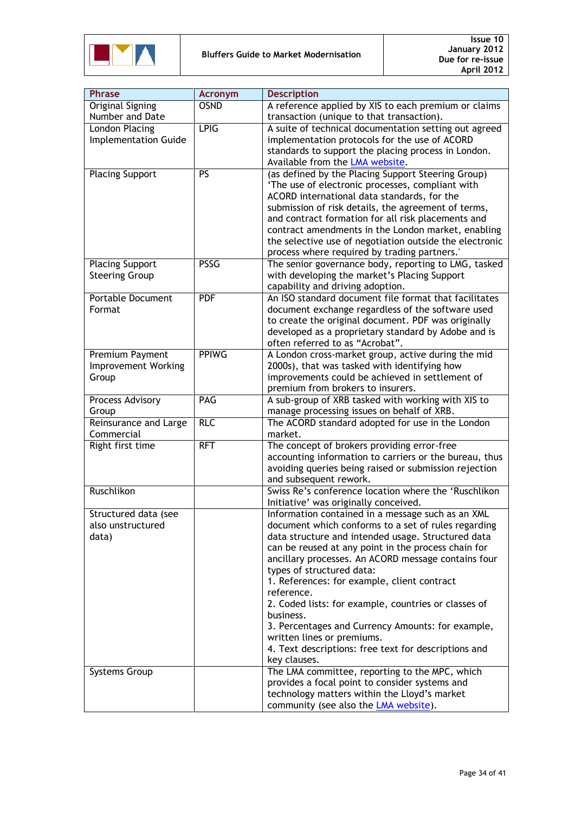

| <b>OSND</b><br>A reference applied by XIS to each premium or claims<br><b>Original Signing</b><br>Number and Date<br>transaction (unique to that transaction).<br><b>LPIG</b><br>London Placing<br>A suite of technical documentation setting out agreed<br><b>Implementation Guide</b><br>implementation protocols for the use of ACORD<br>standards to support the placing process in London.<br>Available from the LMA website.<br><b>Placing Support</b><br>PS<br>(as defined by the Placing Support Steering Group)<br>'The use of electronic processes, compliant with<br>ACORD international data standards, for the<br>submission of risk details, the agreement of terms,<br>and contract formation for all risk placements and<br>contract amendments in the London market, enabling<br>the selective use of negotiation outside the electronic<br>process where required by trading partners.'<br><b>PSSG</b><br>The senior governance body, reporting to LMG, tasked<br><b>Placing Support</b><br><b>Steering Group</b><br>with developing the market's Placing Support<br>capability and driving adoption.<br>An ISO standard document file format that facilitates<br><b>Portable Document</b><br><b>PDF</b><br>document exchange regardless of the software used<br>Format<br>to create the original document. PDF was originally<br>developed as a proprietary standard by Adobe and is<br>often referred to as "Acrobat".<br><b>PPIWG</b><br>Premium Payment<br>A London cross-market group, active during the mid<br>Improvement Working<br>2000s), that was tasked with identifying how<br>improvements could be achieved in settlement of<br>Group<br>premium from brokers to insurers.<br>PAG<br>A sub-group of XRB tasked with working with XIS to<br>Process Advisory<br>manage processing issues on behalf of XRB.<br>Group<br><b>RLC</b><br><b>Reinsurance and Large</b><br>The ACORD standard adopted for use in the London<br>Commercial<br>market.<br>Right first time<br>The concept of brokers providing error-free<br><b>RFT</b><br>accounting information to carriers or the bureau, thus<br>avoiding queries being raised or submission rejection<br>and subsequent rework.<br>Ruschlikon<br>Swiss Re's conference location where the 'Ruschlikon<br>Initiative' was originally conceived.<br>Structured data (see<br>Information contained in a message such as an XML<br>also unstructured<br>document which conforms to a set of rules regarding<br>data structure and intended usage. Structured data<br>data)<br>can be reused at any point in the process chain for<br>ancillary processes. An ACORD message contains four<br>types of structured data:<br>1. References: for example, client contract<br>reference.<br>2. Coded lists: for example, countries or classes of<br>business.<br>3. Percentages and Currency Amounts: for example,<br>written lines or premiums.<br>4. Text descriptions: free text for descriptions and<br>key clauses.<br>The LMA committee, reporting to the MPC, which<br>Systems Group<br>provides a focal point to consider systems and<br>technology matters within the Lloyd's market | <b>Phrase</b> | <b>Acronym</b> | <b>Description</b>                           |  |
|------------------------------------------------------------------------------------------------------------------------------------------------------------------------------------------------------------------------------------------------------------------------------------------------------------------------------------------------------------------------------------------------------------------------------------------------------------------------------------------------------------------------------------------------------------------------------------------------------------------------------------------------------------------------------------------------------------------------------------------------------------------------------------------------------------------------------------------------------------------------------------------------------------------------------------------------------------------------------------------------------------------------------------------------------------------------------------------------------------------------------------------------------------------------------------------------------------------------------------------------------------------------------------------------------------------------------------------------------------------------------------------------------------------------------------------------------------------------------------------------------------------------------------------------------------------------------------------------------------------------------------------------------------------------------------------------------------------------------------------------------------------------------------------------------------------------------------------------------------------------------------------------------------------------------------------------------------------------------------------------------------------------------------------------------------------------------------------------------------------------------------------------------------------------------------------------------------------------------------------------------------------------------------------------------------------------------------------------------------------------------------------------------------------------------------------------------------------------------------------------------------------------------------------------------------------------------------------------------------------------------------------------------------------------------------------------------------------------------------------------------------------------------------------------------------------------------------------------------------------------------------------------------------------------------------------------------------------------------------------------------------------------------------------------------------------------------------------------------------------------------------------------------------------|---------------|----------------|----------------------------------------------|--|
|                                                                                                                                                                                                                                                                                                                                                                                                                                                                                                                                                                                                                                                                                                                                                                                                                                                                                                                                                                                                                                                                                                                                                                                                                                                                                                                                                                                                                                                                                                                                                                                                                                                                                                                                                                                                                                                                                                                                                                                                                                                                                                                                                                                                                                                                                                                                                                                                                                                                                                                                                                                                                                                                                                                                                                                                                                                                                                                                                                                                                                                                                                                                                                  |               |                |                                              |  |
|                                                                                                                                                                                                                                                                                                                                                                                                                                                                                                                                                                                                                                                                                                                                                                                                                                                                                                                                                                                                                                                                                                                                                                                                                                                                                                                                                                                                                                                                                                                                                                                                                                                                                                                                                                                                                                                                                                                                                                                                                                                                                                                                                                                                                                                                                                                                                                                                                                                                                                                                                                                                                                                                                                                                                                                                                                                                                                                                                                                                                                                                                                                                                                  |               |                |                                              |  |
|                                                                                                                                                                                                                                                                                                                                                                                                                                                                                                                                                                                                                                                                                                                                                                                                                                                                                                                                                                                                                                                                                                                                                                                                                                                                                                                                                                                                                                                                                                                                                                                                                                                                                                                                                                                                                                                                                                                                                                                                                                                                                                                                                                                                                                                                                                                                                                                                                                                                                                                                                                                                                                                                                                                                                                                                                                                                                                                                                                                                                                                                                                                                                                  |               |                |                                              |  |
|                                                                                                                                                                                                                                                                                                                                                                                                                                                                                                                                                                                                                                                                                                                                                                                                                                                                                                                                                                                                                                                                                                                                                                                                                                                                                                                                                                                                                                                                                                                                                                                                                                                                                                                                                                                                                                                                                                                                                                                                                                                                                                                                                                                                                                                                                                                                                                                                                                                                                                                                                                                                                                                                                                                                                                                                                                                                                                                                                                                                                                                                                                                                                                  |               |                |                                              |  |
|                                                                                                                                                                                                                                                                                                                                                                                                                                                                                                                                                                                                                                                                                                                                                                                                                                                                                                                                                                                                                                                                                                                                                                                                                                                                                                                                                                                                                                                                                                                                                                                                                                                                                                                                                                                                                                                                                                                                                                                                                                                                                                                                                                                                                                                                                                                                                                                                                                                                                                                                                                                                                                                                                                                                                                                                                                                                                                                                                                                                                                                                                                                                                                  |               |                |                                              |  |
|                                                                                                                                                                                                                                                                                                                                                                                                                                                                                                                                                                                                                                                                                                                                                                                                                                                                                                                                                                                                                                                                                                                                                                                                                                                                                                                                                                                                                                                                                                                                                                                                                                                                                                                                                                                                                                                                                                                                                                                                                                                                                                                                                                                                                                                                                                                                                                                                                                                                                                                                                                                                                                                                                                                                                                                                                                                                                                                                                                                                                                                                                                                                                                  |               |                |                                              |  |
|                                                                                                                                                                                                                                                                                                                                                                                                                                                                                                                                                                                                                                                                                                                                                                                                                                                                                                                                                                                                                                                                                                                                                                                                                                                                                                                                                                                                                                                                                                                                                                                                                                                                                                                                                                                                                                                                                                                                                                                                                                                                                                                                                                                                                                                                                                                                                                                                                                                                                                                                                                                                                                                                                                                                                                                                                                                                                                                                                                                                                                                                                                                                                                  |               |                |                                              |  |
|                                                                                                                                                                                                                                                                                                                                                                                                                                                                                                                                                                                                                                                                                                                                                                                                                                                                                                                                                                                                                                                                                                                                                                                                                                                                                                                                                                                                                                                                                                                                                                                                                                                                                                                                                                                                                                                                                                                                                                                                                                                                                                                                                                                                                                                                                                                                                                                                                                                                                                                                                                                                                                                                                                                                                                                                                                                                                                                                                                                                                                                                                                                                                                  |               |                |                                              |  |
|                                                                                                                                                                                                                                                                                                                                                                                                                                                                                                                                                                                                                                                                                                                                                                                                                                                                                                                                                                                                                                                                                                                                                                                                                                                                                                                                                                                                                                                                                                                                                                                                                                                                                                                                                                                                                                                                                                                                                                                                                                                                                                                                                                                                                                                                                                                                                                                                                                                                                                                                                                                                                                                                                                                                                                                                                                                                                                                                                                                                                                                                                                                                                                  |               |                |                                              |  |
|                                                                                                                                                                                                                                                                                                                                                                                                                                                                                                                                                                                                                                                                                                                                                                                                                                                                                                                                                                                                                                                                                                                                                                                                                                                                                                                                                                                                                                                                                                                                                                                                                                                                                                                                                                                                                                                                                                                                                                                                                                                                                                                                                                                                                                                                                                                                                                                                                                                                                                                                                                                                                                                                                                                                                                                                                                                                                                                                                                                                                                                                                                                                                                  |               |                |                                              |  |
|                                                                                                                                                                                                                                                                                                                                                                                                                                                                                                                                                                                                                                                                                                                                                                                                                                                                                                                                                                                                                                                                                                                                                                                                                                                                                                                                                                                                                                                                                                                                                                                                                                                                                                                                                                                                                                                                                                                                                                                                                                                                                                                                                                                                                                                                                                                                                                                                                                                                                                                                                                                                                                                                                                                                                                                                                                                                                                                                                                                                                                                                                                                                                                  |               |                |                                              |  |
|                                                                                                                                                                                                                                                                                                                                                                                                                                                                                                                                                                                                                                                                                                                                                                                                                                                                                                                                                                                                                                                                                                                                                                                                                                                                                                                                                                                                                                                                                                                                                                                                                                                                                                                                                                                                                                                                                                                                                                                                                                                                                                                                                                                                                                                                                                                                                                                                                                                                                                                                                                                                                                                                                                                                                                                                                                                                                                                                                                                                                                                                                                                                                                  |               |                |                                              |  |
|                                                                                                                                                                                                                                                                                                                                                                                                                                                                                                                                                                                                                                                                                                                                                                                                                                                                                                                                                                                                                                                                                                                                                                                                                                                                                                                                                                                                                                                                                                                                                                                                                                                                                                                                                                                                                                                                                                                                                                                                                                                                                                                                                                                                                                                                                                                                                                                                                                                                                                                                                                                                                                                                                                                                                                                                                                                                                                                                                                                                                                                                                                                                                                  |               |                |                                              |  |
|                                                                                                                                                                                                                                                                                                                                                                                                                                                                                                                                                                                                                                                                                                                                                                                                                                                                                                                                                                                                                                                                                                                                                                                                                                                                                                                                                                                                                                                                                                                                                                                                                                                                                                                                                                                                                                                                                                                                                                                                                                                                                                                                                                                                                                                                                                                                                                                                                                                                                                                                                                                                                                                                                                                                                                                                                                                                                                                                                                                                                                                                                                                                                                  |               |                |                                              |  |
|                                                                                                                                                                                                                                                                                                                                                                                                                                                                                                                                                                                                                                                                                                                                                                                                                                                                                                                                                                                                                                                                                                                                                                                                                                                                                                                                                                                                                                                                                                                                                                                                                                                                                                                                                                                                                                                                                                                                                                                                                                                                                                                                                                                                                                                                                                                                                                                                                                                                                                                                                                                                                                                                                                                                                                                                                                                                                                                                                                                                                                                                                                                                                                  |               |                |                                              |  |
|                                                                                                                                                                                                                                                                                                                                                                                                                                                                                                                                                                                                                                                                                                                                                                                                                                                                                                                                                                                                                                                                                                                                                                                                                                                                                                                                                                                                                                                                                                                                                                                                                                                                                                                                                                                                                                                                                                                                                                                                                                                                                                                                                                                                                                                                                                                                                                                                                                                                                                                                                                                                                                                                                                                                                                                                                                                                                                                                                                                                                                                                                                                                                                  |               |                |                                              |  |
|                                                                                                                                                                                                                                                                                                                                                                                                                                                                                                                                                                                                                                                                                                                                                                                                                                                                                                                                                                                                                                                                                                                                                                                                                                                                                                                                                                                                                                                                                                                                                                                                                                                                                                                                                                                                                                                                                                                                                                                                                                                                                                                                                                                                                                                                                                                                                                                                                                                                                                                                                                                                                                                                                                                                                                                                                                                                                                                                                                                                                                                                                                                                                                  |               |                |                                              |  |
|                                                                                                                                                                                                                                                                                                                                                                                                                                                                                                                                                                                                                                                                                                                                                                                                                                                                                                                                                                                                                                                                                                                                                                                                                                                                                                                                                                                                                                                                                                                                                                                                                                                                                                                                                                                                                                                                                                                                                                                                                                                                                                                                                                                                                                                                                                                                                                                                                                                                                                                                                                                                                                                                                                                                                                                                                                                                                                                                                                                                                                                                                                                                                                  |               |                |                                              |  |
|                                                                                                                                                                                                                                                                                                                                                                                                                                                                                                                                                                                                                                                                                                                                                                                                                                                                                                                                                                                                                                                                                                                                                                                                                                                                                                                                                                                                                                                                                                                                                                                                                                                                                                                                                                                                                                                                                                                                                                                                                                                                                                                                                                                                                                                                                                                                                                                                                                                                                                                                                                                                                                                                                                                                                                                                                                                                                                                                                                                                                                                                                                                                                                  |               |                |                                              |  |
|                                                                                                                                                                                                                                                                                                                                                                                                                                                                                                                                                                                                                                                                                                                                                                                                                                                                                                                                                                                                                                                                                                                                                                                                                                                                                                                                                                                                                                                                                                                                                                                                                                                                                                                                                                                                                                                                                                                                                                                                                                                                                                                                                                                                                                                                                                                                                                                                                                                                                                                                                                                                                                                                                                                                                                                                                                                                                                                                                                                                                                                                                                                                                                  |               |                |                                              |  |
|                                                                                                                                                                                                                                                                                                                                                                                                                                                                                                                                                                                                                                                                                                                                                                                                                                                                                                                                                                                                                                                                                                                                                                                                                                                                                                                                                                                                                                                                                                                                                                                                                                                                                                                                                                                                                                                                                                                                                                                                                                                                                                                                                                                                                                                                                                                                                                                                                                                                                                                                                                                                                                                                                                                                                                                                                                                                                                                                                                                                                                                                                                                                                                  |               |                |                                              |  |
|                                                                                                                                                                                                                                                                                                                                                                                                                                                                                                                                                                                                                                                                                                                                                                                                                                                                                                                                                                                                                                                                                                                                                                                                                                                                                                                                                                                                                                                                                                                                                                                                                                                                                                                                                                                                                                                                                                                                                                                                                                                                                                                                                                                                                                                                                                                                                                                                                                                                                                                                                                                                                                                                                                                                                                                                                                                                                                                                                                                                                                                                                                                                                                  |               |                |                                              |  |
|                                                                                                                                                                                                                                                                                                                                                                                                                                                                                                                                                                                                                                                                                                                                                                                                                                                                                                                                                                                                                                                                                                                                                                                                                                                                                                                                                                                                                                                                                                                                                                                                                                                                                                                                                                                                                                                                                                                                                                                                                                                                                                                                                                                                                                                                                                                                                                                                                                                                                                                                                                                                                                                                                                                                                                                                                                                                                                                                                                                                                                                                                                                                                                  |               |                |                                              |  |
|                                                                                                                                                                                                                                                                                                                                                                                                                                                                                                                                                                                                                                                                                                                                                                                                                                                                                                                                                                                                                                                                                                                                                                                                                                                                                                                                                                                                                                                                                                                                                                                                                                                                                                                                                                                                                                                                                                                                                                                                                                                                                                                                                                                                                                                                                                                                                                                                                                                                                                                                                                                                                                                                                                                                                                                                                                                                                                                                                                                                                                                                                                                                                                  |               |                |                                              |  |
|                                                                                                                                                                                                                                                                                                                                                                                                                                                                                                                                                                                                                                                                                                                                                                                                                                                                                                                                                                                                                                                                                                                                                                                                                                                                                                                                                                                                                                                                                                                                                                                                                                                                                                                                                                                                                                                                                                                                                                                                                                                                                                                                                                                                                                                                                                                                                                                                                                                                                                                                                                                                                                                                                                                                                                                                                                                                                                                                                                                                                                                                                                                                                                  |               |                |                                              |  |
|                                                                                                                                                                                                                                                                                                                                                                                                                                                                                                                                                                                                                                                                                                                                                                                                                                                                                                                                                                                                                                                                                                                                                                                                                                                                                                                                                                                                                                                                                                                                                                                                                                                                                                                                                                                                                                                                                                                                                                                                                                                                                                                                                                                                                                                                                                                                                                                                                                                                                                                                                                                                                                                                                                                                                                                                                                                                                                                                                                                                                                                                                                                                                                  |               |                |                                              |  |
|                                                                                                                                                                                                                                                                                                                                                                                                                                                                                                                                                                                                                                                                                                                                                                                                                                                                                                                                                                                                                                                                                                                                                                                                                                                                                                                                                                                                                                                                                                                                                                                                                                                                                                                                                                                                                                                                                                                                                                                                                                                                                                                                                                                                                                                                                                                                                                                                                                                                                                                                                                                                                                                                                                                                                                                                                                                                                                                                                                                                                                                                                                                                                                  |               |                |                                              |  |
|                                                                                                                                                                                                                                                                                                                                                                                                                                                                                                                                                                                                                                                                                                                                                                                                                                                                                                                                                                                                                                                                                                                                                                                                                                                                                                                                                                                                                                                                                                                                                                                                                                                                                                                                                                                                                                                                                                                                                                                                                                                                                                                                                                                                                                                                                                                                                                                                                                                                                                                                                                                                                                                                                                                                                                                                                                                                                                                                                                                                                                                                                                                                                                  |               |                |                                              |  |
|                                                                                                                                                                                                                                                                                                                                                                                                                                                                                                                                                                                                                                                                                                                                                                                                                                                                                                                                                                                                                                                                                                                                                                                                                                                                                                                                                                                                                                                                                                                                                                                                                                                                                                                                                                                                                                                                                                                                                                                                                                                                                                                                                                                                                                                                                                                                                                                                                                                                                                                                                                                                                                                                                                                                                                                                                                                                                                                                                                                                                                                                                                                                                                  |               |                |                                              |  |
|                                                                                                                                                                                                                                                                                                                                                                                                                                                                                                                                                                                                                                                                                                                                                                                                                                                                                                                                                                                                                                                                                                                                                                                                                                                                                                                                                                                                                                                                                                                                                                                                                                                                                                                                                                                                                                                                                                                                                                                                                                                                                                                                                                                                                                                                                                                                                                                                                                                                                                                                                                                                                                                                                                                                                                                                                                                                                                                                                                                                                                                                                                                                                                  |               |                |                                              |  |
|                                                                                                                                                                                                                                                                                                                                                                                                                                                                                                                                                                                                                                                                                                                                                                                                                                                                                                                                                                                                                                                                                                                                                                                                                                                                                                                                                                                                                                                                                                                                                                                                                                                                                                                                                                                                                                                                                                                                                                                                                                                                                                                                                                                                                                                                                                                                                                                                                                                                                                                                                                                                                                                                                                                                                                                                                                                                                                                                                                                                                                                                                                                                                                  |               |                |                                              |  |
|                                                                                                                                                                                                                                                                                                                                                                                                                                                                                                                                                                                                                                                                                                                                                                                                                                                                                                                                                                                                                                                                                                                                                                                                                                                                                                                                                                                                                                                                                                                                                                                                                                                                                                                                                                                                                                                                                                                                                                                                                                                                                                                                                                                                                                                                                                                                                                                                                                                                                                                                                                                                                                                                                                                                                                                                                                                                                                                                                                                                                                                                                                                                                                  |               |                |                                              |  |
|                                                                                                                                                                                                                                                                                                                                                                                                                                                                                                                                                                                                                                                                                                                                                                                                                                                                                                                                                                                                                                                                                                                                                                                                                                                                                                                                                                                                                                                                                                                                                                                                                                                                                                                                                                                                                                                                                                                                                                                                                                                                                                                                                                                                                                                                                                                                                                                                                                                                                                                                                                                                                                                                                                                                                                                                                                                                                                                                                                                                                                                                                                                                                                  |               |                |                                              |  |
|                                                                                                                                                                                                                                                                                                                                                                                                                                                                                                                                                                                                                                                                                                                                                                                                                                                                                                                                                                                                                                                                                                                                                                                                                                                                                                                                                                                                                                                                                                                                                                                                                                                                                                                                                                                                                                                                                                                                                                                                                                                                                                                                                                                                                                                                                                                                                                                                                                                                                                                                                                                                                                                                                                                                                                                                                                                                                                                                                                                                                                                                                                                                                                  |               |                |                                              |  |
|                                                                                                                                                                                                                                                                                                                                                                                                                                                                                                                                                                                                                                                                                                                                                                                                                                                                                                                                                                                                                                                                                                                                                                                                                                                                                                                                                                                                                                                                                                                                                                                                                                                                                                                                                                                                                                                                                                                                                                                                                                                                                                                                                                                                                                                                                                                                                                                                                                                                                                                                                                                                                                                                                                                                                                                                                                                                                                                                                                                                                                                                                                                                                                  |               |                |                                              |  |
|                                                                                                                                                                                                                                                                                                                                                                                                                                                                                                                                                                                                                                                                                                                                                                                                                                                                                                                                                                                                                                                                                                                                                                                                                                                                                                                                                                                                                                                                                                                                                                                                                                                                                                                                                                                                                                                                                                                                                                                                                                                                                                                                                                                                                                                                                                                                                                                                                                                                                                                                                                                                                                                                                                                                                                                                                                                                                                                                                                                                                                                                                                                                                                  |               |                |                                              |  |
|                                                                                                                                                                                                                                                                                                                                                                                                                                                                                                                                                                                                                                                                                                                                                                                                                                                                                                                                                                                                                                                                                                                                                                                                                                                                                                                                                                                                                                                                                                                                                                                                                                                                                                                                                                                                                                                                                                                                                                                                                                                                                                                                                                                                                                                                                                                                                                                                                                                                                                                                                                                                                                                                                                                                                                                                                                                                                                                                                                                                                                                                                                                                                                  |               |                |                                              |  |
|                                                                                                                                                                                                                                                                                                                                                                                                                                                                                                                                                                                                                                                                                                                                                                                                                                                                                                                                                                                                                                                                                                                                                                                                                                                                                                                                                                                                                                                                                                                                                                                                                                                                                                                                                                                                                                                                                                                                                                                                                                                                                                                                                                                                                                                                                                                                                                                                                                                                                                                                                                                                                                                                                                                                                                                                                                                                                                                                                                                                                                                                                                                                                                  |               |                |                                              |  |
|                                                                                                                                                                                                                                                                                                                                                                                                                                                                                                                                                                                                                                                                                                                                                                                                                                                                                                                                                                                                                                                                                                                                                                                                                                                                                                                                                                                                                                                                                                                                                                                                                                                                                                                                                                                                                                                                                                                                                                                                                                                                                                                                                                                                                                                                                                                                                                                                                                                                                                                                                                                                                                                                                                                                                                                                                                                                                                                                                                                                                                                                                                                                                                  |               |                |                                              |  |
|                                                                                                                                                                                                                                                                                                                                                                                                                                                                                                                                                                                                                                                                                                                                                                                                                                                                                                                                                                                                                                                                                                                                                                                                                                                                                                                                                                                                                                                                                                                                                                                                                                                                                                                                                                                                                                                                                                                                                                                                                                                                                                                                                                                                                                                                                                                                                                                                                                                                                                                                                                                                                                                                                                                                                                                                                                                                                                                                                                                                                                                                                                                                                                  |               |                |                                              |  |
|                                                                                                                                                                                                                                                                                                                                                                                                                                                                                                                                                                                                                                                                                                                                                                                                                                                                                                                                                                                                                                                                                                                                                                                                                                                                                                                                                                                                                                                                                                                                                                                                                                                                                                                                                                                                                                                                                                                                                                                                                                                                                                                                                                                                                                                                                                                                                                                                                                                                                                                                                                                                                                                                                                                                                                                                                                                                                                                                                                                                                                                                                                                                                                  |               |                |                                              |  |
|                                                                                                                                                                                                                                                                                                                                                                                                                                                                                                                                                                                                                                                                                                                                                                                                                                                                                                                                                                                                                                                                                                                                                                                                                                                                                                                                                                                                                                                                                                                                                                                                                                                                                                                                                                                                                                                                                                                                                                                                                                                                                                                                                                                                                                                                                                                                                                                                                                                                                                                                                                                                                                                                                                                                                                                                                                                                                                                                                                                                                                                                                                                                                                  |               |                |                                              |  |
|                                                                                                                                                                                                                                                                                                                                                                                                                                                                                                                                                                                                                                                                                                                                                                                                                                                                                                                                                                                                                                                                                                                                                                                                                                                                                                                                                                                                                                                                                                                                                                                                                                                                                                                                                                                                                                                                                                                                                                                                                                                                                                                                                                                                                                                                                                                                                                                                                                                                                                                                                                                                                                                                                                                                                                                                                                                                                                                                                                                                                                                                                                                                                                  |               |                |                                              |  |
|                                                                                                                                                                                                                                                                                                                                                                                                                                                                                                                                                                                                                                                                                                                                                                                                                                                                                                                                                                                                                                                                                                                                                                                                                                                                                                                                                                                                                                                                                                                                                                                                                                                                                                                                                                                                                                                                                                                                                                                                                                                                                                                                                                                                                                                                                                                                                                                                                                                                                                                                                                                                                                                                                                                                                                                                                                                                                                                                                                                                                                                                                                                                                                  |               |                |                                              |  |
|                                                                                                                                                                                                                                                                                                                                                                                                                                                                                                                                                                                                                                                                                                                                                                                                                                                                                                                                                                                                                                                                                                                                                                                                                                                                                                                                                                                                                                                                                                                                                                                                                                                                                                                                                                                                                                                                                                                                                                                                                                                                                                                                                                                                                                                                                                                                                                                                                                                                                                                                                                                                                                                                                                                                                                                                                                                                                                                                                                                                                                                                                                                                                                  |               |                |                                              |  |
|                                                                                                                                                                                                                                                                                                                                                                                                                                                                                                                                                                                                                                                                                                                                                                                                                                                                                                                                                                                                                                                                                                                                                                                                                                                                                                                                                                                                                                                                                                                                                                                                                                                                                                                                                                                                                                                                                                                                                                                                                                                                                                                                                                                                                                                                                                                                                                                                                                                                                                                                                                                                                                                                                                                                                                                                                                                                                                                                                                                                                                                                                                                                                                  |               |                |                                              |  |
|                                                                                                                                                                                                                                                                                                                                                                                                                                                                                                                                                                                                                                                                                                                                                                                                                                                                                                                                                                                                                                                                                                                                                                                                                                                                                                                                                                                                                                                                                                                                                                                                                                                                                                                                                                                                                                                                                                                                                                                                                                                                                                                                                                                                                                                                                                                                                                                                                                                                                                                                                                                                                                                                                                                                                                                                                                                                                                                                                                                                                                                                                                                                                                  |               |                |                                              |  |
|                                                                                                                                                                                                                                                                                                                                                                                                                                                                                                                                                                                                                                                                                                                                                                                                                                                                                                                                                                                                                                                                                                                                                                                                                                                                                                                                                                                                                                                                                                                                                                                                                                                                                                                                                                                                                                                                                                                                                                                                                                                                                                                                                                                                                                                                                                                                                                                                                                                                                                                                                                                                                                                                                                                                                                                                                                                                                                                                                                                                                                                                                                                                                                  |               |                |                                              |  |
|                                                                                                                                                                                                                                                                                                                                                                                                                                                                                                                                                                                                                                                                                                                                                                                                                                                                                                                                                                                                                                                                                                                                                                                                                                                                                                                                                                                                                                                                                                                                                                                                                                                                                                                                                                                                                                                                                                                                                                                                                                                                                                                                                                                                                                                                                                                                                                                                                                                                                                                                                                                                                                                                                                                                                                                                                                                                                                                                                                                                                                                                                                                                                                  |               |                |                                              |  |
|                                                                                                                                                                                                                                                                                                                                                                                                                                                                                                                                                                                                                                                                                                                                                                                                                                                                                                                                                                                                                                                                                                                                                                                                                                                                                                                                                                                                                                                                                                                                                                                                                                                                                                                                                                                                                                                                                                                                                                                                                                                                                                                                                                                                                                                                                                                                                                                                                                                                                                                                                                                                                                                                                                                                                                                                                                                                                                                                                                                                                                                                                                                                                                  |               |                |                                              |  |
|                                                                                                                                                                                                                                                                                                                                                                                                                                                                                                                                                                                                                                                                                                                                                                                                                                                                                                                                                                                                                                                                                                                                                                                                                                                                                                                                                                                                                                                                                                                                                                                                                                                                                                                                                                                                                                                                                                                                                                                                                                                                                                                                                                                                                                                                                                                                                                                                                                                                                                                                                                                                                                                                                                                                                                                                                                                                                                                                                                                                                                                                                                                                                                  |               |                |                                              |  |
|                                                                                                                                                                                                                                                                                                                                                                                                                                                                                                                                                                                                                                                                                                                                                                                                                                                                                                                                                                                                                                                                                                                                                                                                                                                                                                                                                                                                                                                                                                                                                                                                                                                                                                                                                                                                                                                                                                                                                                                                                                                                                                                                                                                                                                                                                                                                                                                                                                                                                                                                                                                                                                                                                                                                                                                                                                                                                                                                                                                                                                                                                                                                                                  |               |                | community (see also the <b>LMA</b> website). |  |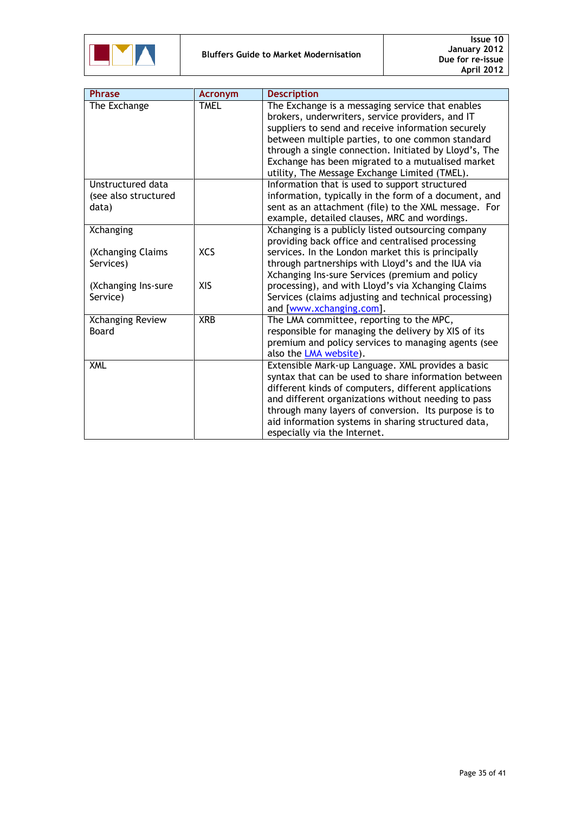

| <b>Phrase</b>                                      | <b>Acronym</b> | <b>Description</b>                                                                                                                                                                                                                                                                                                                                                             |
|----------------------------------------------------|----------------|--------------------------------------------------------------------------------------------------------------------------------------------------------------------------------------------------------------------------------------------------------------------------------------------------------------------------------------------------------------------------------|
| The Exchange                                       | <b>TMEL</b>    | The Exchange is a messaging service that enables<br>brokers, underwriters, service providers, and IT<br>suppliers to send and receive information securely<br>between multiple parties, to one common standard<br>through a single connection. Initiated by Lloyd's, The<br>Exchange has been migrated to a mutualised market<br>utility, The Message Exchange Limited (TMEL). |
| Unstructured data<br>(see also structured<br>data) |                | Information that is used to support structured<br>information, typically in the form of a document, and<br>sent as an attachment (file) to the XML message. For<br>example, detailed clauses, MRC and wordings.                                                                                                                                                                |
| Xchanging                                          |                | Xchanging is a publicly listed outsourcing company<br>providing back office and centralised processing                                                                                                                                                                                                                                                                         |
| (Xchanging Claims<br>Services)                     | <b>XCS</b>     | services. In the London market this is principally<br>through partnerships with Lloyd's and the IUA via<br>Xchanging Ins-sure Services (premium and policy                                                                                                                                                                                                                     |
| (Xchanging Ins-sure<br>Service)                    | XIS            | processing), and with Lloyd's via Xchanging Claims<br>Services (claims adjusting and technical processing)<br>and [www.xchanging.com].                                                                                                                                                                                                                                         |
| Xchanging Review<br>Board                          | <b>XRB</b>     | The LMA committee, reporting to the MPC,<br>responsible for managing the delivery by XIS of its<br>premium and policy services to managing agents (see<br>also the LMA website).                                                                                                                                                                                               |
| <b>XML</b>                                         |                | Extensible Mark-up Language. XML provides a basic<br>syntax that can be used to share information between<br>different kinds of computers, different applications<br>and different organizations without needing to pass<br>through many layers of conversion. Its purpose is to<br>aid information systems in sharing structured data,<br>especially via the Internet.        |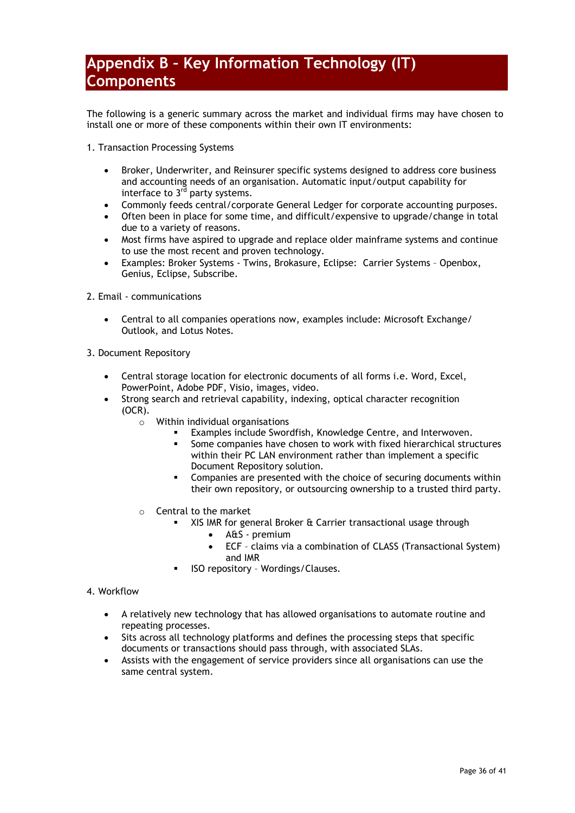## <span id="page-35-0"></span>**Appendix B – Key Information Technology (IT) Components**

The following is a generic summary across the market and individual firms may have chosen to install one or more of these components within their own IT environments:

- 1. Transaction Processing Systems
	- Broker, Underwriter, and Reinsurer specific systems designed to address core business and accounting needs of an organisation. Automatic input/output capability for interface to  $3<sup>rd</sup>$  party systems.
	- Commonly feeds central/corporate General Ledger for corporate accounting purposes.
	- Often been in place for some time, and difficult/expensive to upgrade/change in total due to a variety of reasons.
	- Most firms have aspired to upgrade and replace older mainframe systems and continue to use the most recent and proven technology.
	- Examples: Broker Systems Twins, Brokasure, Eclipse: Carrier Systems Openbox, Genius, Eclipse, Subscribe.
- 2. Email communications
	- Central to all companies operations now, examples include: Microsoft Exchange/ Outlook, and Lotus Notes.
- 3. Document Repository
	- Central storage location for electronic documents of all forms i.e. Word, Excel, PowerPoint, Adobe PDF, Visio, images, video.
	- Strong search and retrieval capability, indexing, optical character recognition (OCR).
		- o Within individual organisations
			- Examples include Swordfish, Knowledge Centre, and Interwoven.
			- Some companies have chosen to work with fixed hierarchical structures within their PC LAN environment rather than implement a specific Document Repository solution.
			- **EXECOM** Companies are presented with the choice of securing documents within their own repository, or outsourcing ownership to a trusted third party.
		- Central to the market
			- XIS IMR for general Broker & Carrier transactional usage through
				- A&S premium
				- ECF claims via a combination of CLASS (Transactional System) and IMR
			- ISO repository Wordings/Clauses.

### 4. Workflow

- A relatively new technology that has allowed organisations to automate routine and repeating processes.
- Sits across all technology platforms and defines the processing steps that specific documents or transactions should pass through, with associated SLAs.
- Assists with the engagement of service providers since all organisations can use the same central system.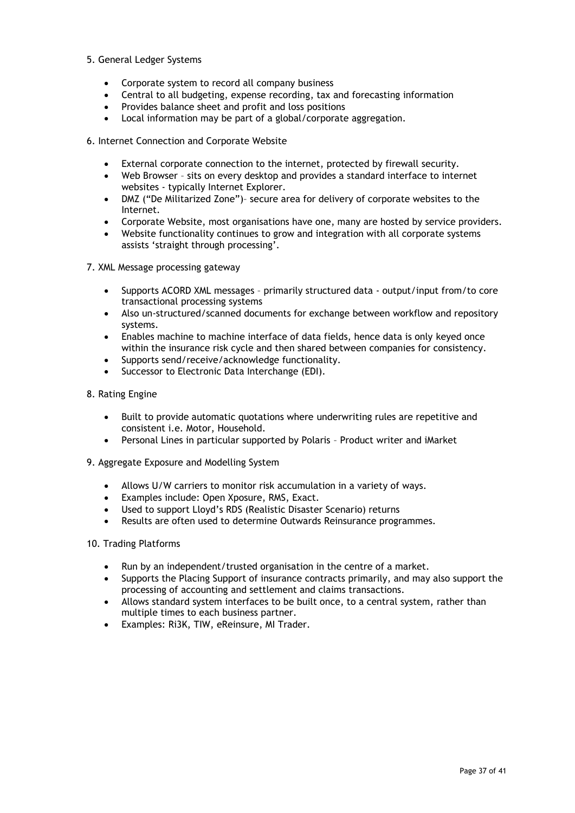- 5. General Ledger Systems
	- Corporate system to record all company business
	- Central to all budgeting, expense recording, tax and forecasting information
	- Provides balance sheet and profit and loss positions
	- Local information may be part of a global/corporate aggregation.
- 6. Internet Connection and Corporate Website
	- External corporate connection to the internet, protected by firewall security.
	- Web Browser sits on every desktop and provides a standard interface to internet websites - typically Internet Explorer.
	- DMZ ("De Militarized Zone")– secure area for delivery of corporate websites to the Internet.
	- Corporate Website, most organisations have one, many are hosted by service providers.
	- Website functionality continues to grow and integration with all corporate systems assists "straight through processing".
- 7. XML Message processing gateway
	- Supports ACORD XML messages primarily structured data output/input from/to core transactional processing systems
	- Also un-structured/scanned documents for exchange between workflow and repository systems.
	- Enables machine to machine interface of data fields, hence data is only keyed once within the insurance risk cycle and then shared between companies for consistency.
	- Supports send/receive/acknowledge functionality.
	- Successor to Electronic Data Interchange (EDI).
- 8. Rating Engine
	- Built to provide automatic quotations where underwriting rules are repetitive and consistent i.e. Motor, Household.
	- Personal Lines in particular supported by Polaris Product writer and iMarket
- 9. Aggregate Exposure and Modelling System
	- Allows U/W carriers to monitor risk accumulation in a variety of ways.
	- Examples include: Open Xposure, RMS, Exact.
	- Used to support Lloyd"s RDS (Realistic Disaster Scenario) returns
	- Results are often used to determine Outwards Reinsurance programmes.

### 10. Trading Platforms

- Run by an independent/trusted organisation in the centre of a market.
- Supports the Placing Support of insurance contracts primarily, and may also support the processing of accounting and settlement and claims transactions.
- Allows standard system interfaces to be built once, to a central system, rather than multiple times to each business partner.
- Examples: Ri3K, TIW, eReinsure, MI Trader.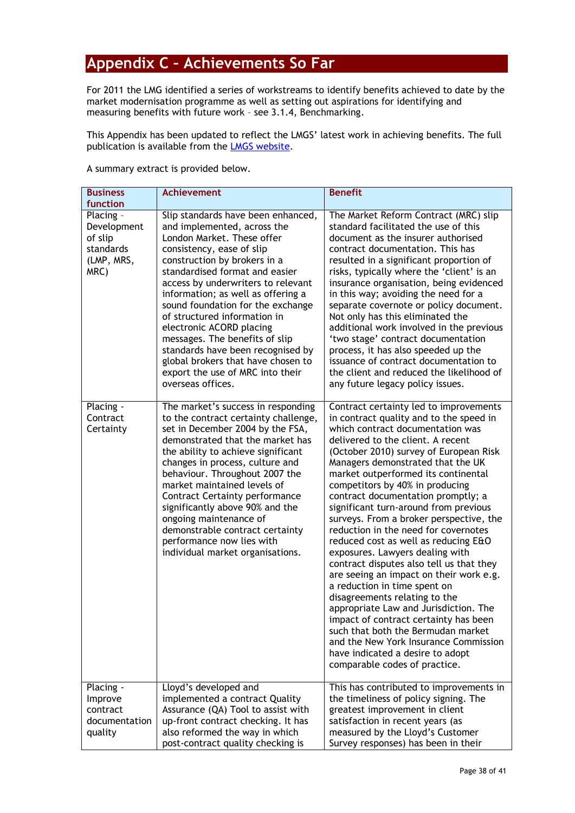# <span id="page-37-0"></span>**Appendix C – Achievements So Far**

<span id="page-37-1"></span>For 2011 the LMG identified a series of workstreams to identify benefits achieved to date by the market modernisation programme as well as setting out aspirations for identifying and measuring benefits with future work – see 3.1.4, Benchmarking.

This Appendix has been updated to reflect the LMGS' latest work in achieving benefits. The full publication is available from the **LMGS website.** 

A summary extract is provided below.

| <b>Business</b><br>function                                            | <b>Achievement</b>                                                                                                                                                                                                                                                                                                                                                                                                                                                                                                                                | <b>Benefit</b>                                                                                                                                                                                                                                                                                                                                                                                                                                                                                                                                                                                                                                                                                                                                                                                                                                                                                                                                                 |
|------------------------------------------------------------------------|---------------------------------------------------------------------------------------------------------------------------------------------------------------------------------------------------------------------------------------------------------------------------------------------------------------------------------------------------------------------------------------------------------------------------------------------------------------------------------------------------------------------------------------------------|----------------------------------------------------------------------------------------------------------------------------------------------------------------------------------------------------------------------------------------------------------------------------------------------------------------------------------------------------------------------------------------------------------------------------------------------------------------------------------------------------------------------------------------------------------------------------------------------------------------------------------------------------------------------------------------------------------------------------------------------------------------------------------------------------------------------------------------------------------------------------------------------------------------------------------------------------------------|
| Placing -<br>Development<br>of slip<br>standards<br>(LMP, MRS,<br>MRC) | Slip standards have been enhanced,<br>and implemented, across the<br>London Market. These offer<br>consistency, ease of slip<br>construction by brokers in a<br>standardised format and easier<br>access by underwriters to relevant<br>information; as well as offering a<br>sound foundation for the exchange<br>of structured information in<br>electronic ACORD placing<br>messages. The benefits of slip<br>standards have been recognised by<br>global brokers that have chosen to<br>export the use of MRC into their<br>overseas offices. | The Market Reform Contract (MRC) slip<br>standard facilitated the use of this<br>document as the insurer authorised<br>contract documentation. This has<br>resulted in a significant proportion of<br>risks, typically where the 'client' is an<br>insurance organisation, being evidenced<br>in this way; avoiding the need for a<br>separate covernote or policy document.<br>Not only has this eliminated the<br>additional work involved in the previous<br>'two stage' contract documentation<br>process, it has also speeded up the<br>issuance of contract documentation to<br>the client and reduced the likelihood of<br>any future legacy policy issues.                                                                                                                                                                                                                                                                                             |
| Placing -<br>Contract<br>Certainty                                     | The market's success in responding<br>to the contract certainty challenge,<br>set in December 2004 by the FSA,<br>demonstrated that the market has<br>the ability to achieve significant<br>changes in process, culture and<br>behaviour. Throughout 2007 the<br>market maintained levels of<br><b>Contract Certainty performance</b><br>significantly above 90% and the<br>ongoing maintenance of<br>demonstrable contract certainty<br>performance now lies with<br>individual market organisations.                                            | Contract certainty led to improvements<br>in contract quality and to the speed in<br>which contract documentation was<br>delivered to the client. A recent<br>(October 2010) survey of European Risk<br>Managers demonstrated that the UK<br>market outperformed its continental<br>competitors by 40% in producing<br>contract documentation promptly; a<br>significant turn-around from previous<br>surveys. From a broker perspective, the<br>reduction in the need for covernotes<br>reduced cost as well as reducing E&O<br>exposures. Lawyers dealing with<br>contract disputes also tell us that they<br>are seeing an impact on their work e.g.<br>a reduction in time spent on<br>disagreements relating to the<br>appropriate Law and Jurisdiction. The<br>impact of contract certainty has been<br>such that both the Bermudan market<br>and the New York Insurance Commission<br>have indicated a desire to adopt<br>comparable codes of practice. |
| Placing -<br>Improve<br>contract<br>documentation<br>quality           | Lloyd's developed and<br>implemented a contract Quality<br>Assurance (QA) Tool to assist with<br>up-front contract checking. It has<br>also reformed the way in which<br>post-contract quality checking is                                                                                                                                                                                                                                                                                                                                        | This has contributed to improvements in<br>the timeliness of policy signing. The<br>greatest improvement in client<br>satisfaction in recent years (as<br>measured by the Lloyd's Customer<br>Survey responses) has been in their                                                                                                                                                                                                                                                                                                                                                                                                                                                                                                                                                                                                                                                                                                                              |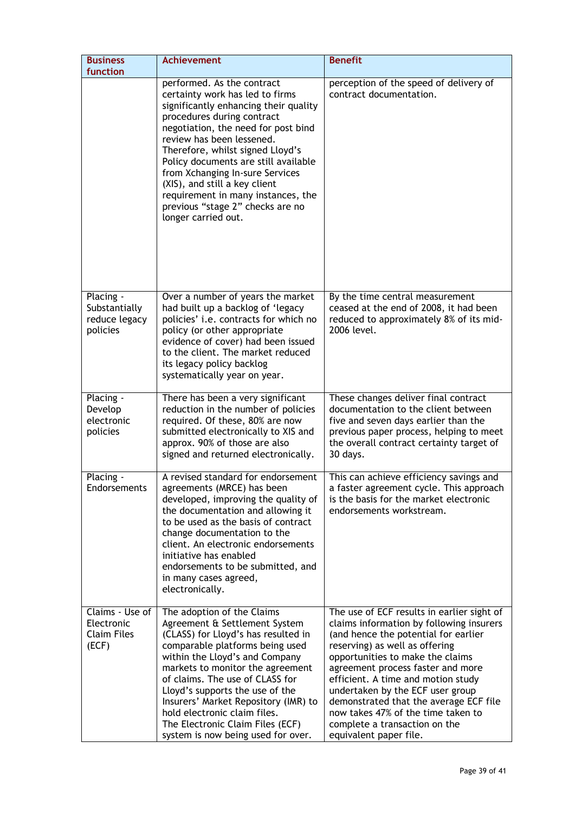| <b>Business</b><br>function                                  | <b>Achievement</b>                                                                                                                                                                                                                                                                                                                                                                                                                                        | <b>Benefit</b>                                                                                                                                                                                                                                                                                                                                                                                                                                                 |
|--------------------------------------------------------------|-----------------------------------------------------------------------------------------------------------------------------------------------------------------------------------------------------------------------------------------------------------------------------------------------------------------------------------------------------------------------------------------------------------------------------------------------------------|----------------------------------------------------------------------------------------------------------------------------------------------------------------------------------------------------------------------------------------------------------------------------------------------------------------------------------------------------------------------------------------------------------------------------------------------------------------|
|                                                              | performed. As the contract<br>certainty work has led to firms<br>significantly enhancing their quality<br>procedures during contract<br>negotiation, the need for post bind<br>review has been lessened.<br>Therefore, whilst signed Lloyd's<br>Policy documents are still available<br>from Xchanging In-sure Services<br>(XIS), and still a key client<br>requirement in many instances, the<br>previous "stage 2" checks are no<br>longer carried out. | perception of the speed of delivery of<br>contract documentation.                                                                                                                                                                                                                                                                                                                                                                                              |
| Placing -<br>Substantially<br>reduce legacy<br>policies      | Over a number of years the market<br>had built up a backlog of 'legacy<br>policies' i.e. contracts for which no<br>policy (or other appropriate<br>evidence of cover) had been issued<br>to the client. The market reduced<br>its legacy policy backlog<br>systematically year on year.                                                                                                                                                                   | By the time central measurement<br>ceased at the end of 2008, it had been<br>reduced to approximately 8% of its mid-<br>2006 level.                                                                                                                                                                                                                                                                                                                            |
| Placing -<br>Develop<br>electronic<br>policies               | There has been a very significant<br>reduction in the number of policies<br>required. Of these, 80% are now<br>submitted electronically to XIS and<br>approx. 90% of those are also<br>signed and returned electronically.                                                                                                                                                                                                                                | These changes deliver final contract<br>documentation to the client between<br>five and seven days earlier than the<br>previous paper process, helping to meet<br>the overall contract certainty target of<br>30 days.                                                                                                                                                                                                                                         |
| Placing -<br>Endorsements                                    | A revised standard for endorsement<br>agreements (MRCE) has been<br>developed, improving the quality of<br>the documentation and allowing it<br>to be used as the basis of contract<br>change documentation to the<br>client. An electronic endorsements<br>initiative has enabled<br>endorsements to be submitted, and<br>in many cases agreed,<br>electronically.                                                                                       | This can achieve efficiency savings and<br>a faster agreement cycle. This approach<br>is the basis for the market electronic<br>endorsements workstream.                                                                                                                                                                                                                                                                                                       |
| Claims - Use of<br>Electronic<br><b>Claim Files</b><br>(ECF) | The adoption of the Claims<br>Agreement & Settlement System<br>(CLASS) for Lloyd's has resulted in<br>comparable platforms being used<br>within the Lloyd's and Company<br>markets to monitor the agreement<br>of claims. The use of CLASS for<br>Lloyd's supports the use of the<br>Insurers' Market Repository (IMR) to<br>hold electronic claim files.<br>The Electronic Claim Files (ECF)<br>system is now being used for over.                       | The use of ECF results in earlier sight of<br>claims information by following insurers<br>(and hence the potential for earlier<br>reserving) as well as offering<br>opportunities to make the claims<br>agreement process faster and more<br>efficient. A time and motion study<br>undertaken by the ECF user group<br>demonstrated that the average ECF file<br>now takes 47% of the time taken to<br>complete a transaction on the<br>equivalent paper file. |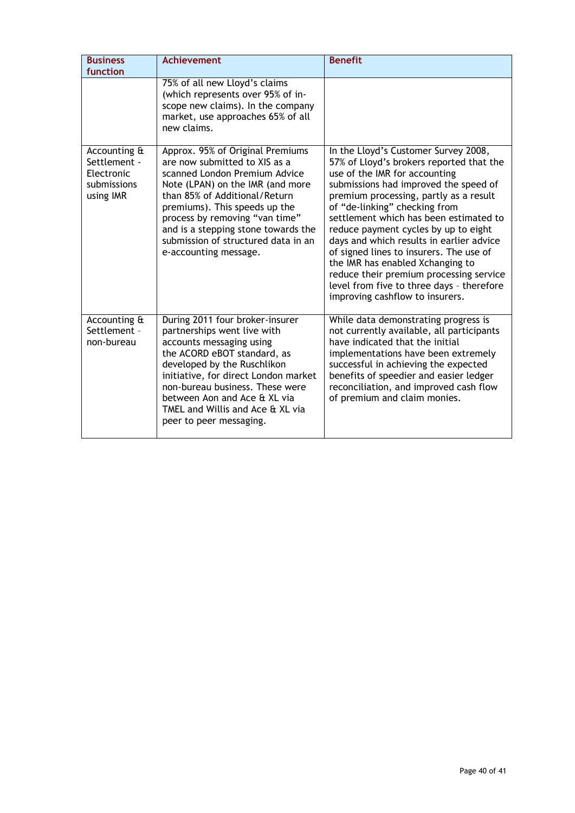| <b>Business</b>                                                        | Achievement                                                                                                                                                                                                                                                                                                                                       | <b>Benefit</b>                                                                                                                                                                                                                                                                                                                                                                                                                                                                                                                                                                |
|------------------------------------------------------------------------|---------------------------------------------------------------------------------------------------------------------------------------------------------------------------------------------------------------------------------------------------------------------------------------------------------------------------------------------------|-------------------------------------------------------------------------------------------------------------------------------------------------------------------------------------------------------------------------------------------------------------------------------------------------------------------------------------------------------------------------------------------------------------------------------------------------------------------------------------------------------------------------------------------------------------------------------|
| function                                                               |                                                                                                                                                                                                                                                                                                                                                   |                                                                                                                                                                                                                                                                                                                                                                                                                                                                                                                                                                               |
|                                                                        | 75% of all new Lloyd's claims<br>(which represents over 95% of in-<br>scope new claims). In the company<br>market, use approaches 65% of all<br>new claims.                                                                                                                                                                                       |                                                                                                                                                                                                                                                                                                                                                                                                                                                                                                                                                                               |
| Accounting &<br>Settlement -<br>Electronic<br>submissions<br>using IMR | Approx. 95% of Original Premiums<br>are now submitted to XIS as a<br>scanned London Premium Advice<br>Note (LPAN) on the IMR (and more<br>than 85% of Additional/Return<br>premiums). This speeds up the<br>process by removing "van time"<br>and is a stepping stone towards the<br>submission of structured data in an<br>e-accounting message. | In the Lloyd's Customer Survey 2008,<br>57% of Lloyd's brokers reported that the<br>use of the IMR for accounting<br>submissions had improved the speed of<br>premium processing, partly as a result<br>of "de-linking" checking from<br>settlement which has been estimated to<br>reduce payment cycles by up to eight<br>days and which results in earlier advice<br>of signed lines to insurers. The use of<br>the IMR has enabled Xchanging to<br>reduce their premium processing service<br>level from five to three days - therefore<br>improving cashflow to insurers. |
| Accounting &<br>Settlement -<br>non-bureau                             | During 2011 four broker-insurer<br>partnerships went live with<br>accounts messaging using<br>the ACORD eBOT standard, as<br>developed by the Ruschlikon<br>initiative, for direct London market<br>non-bureau business. These were<br>between Aon and Ace & XL via<br>TMEL and Willis and Ace & XL via<br>peer to peer messaging.                | While data demonstrating progress is<br>not currently available, all participants<br>have indicated that the initial<br>implementations have been extremely<br>successful in achieving the expected<br>benefits of speedier and easier ledger<br>reconciliation, and improved cash flow<br>of premium and claim monies.                                                                                                                                                                                                                                                       |